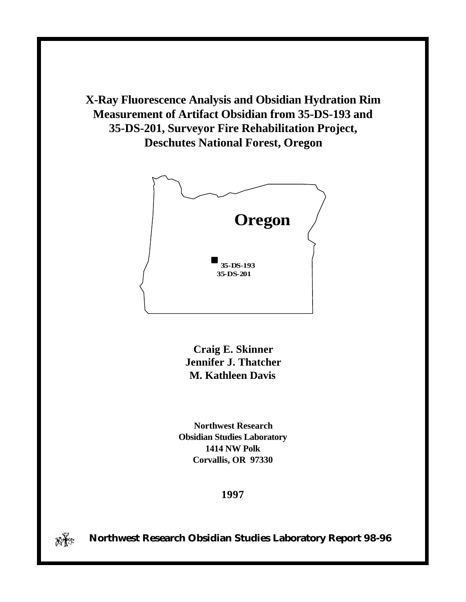**X-Ray Fluorescence Analysis and Obsidian Hydration Rim Measurement of Artifact Obsidian from 35-DS-193 and 35-DS-201, Surveyor Fire Rehabilitation Project, Deschutes National Forest, Oregon**



**Craig E. Skinner Jennifer J. Thatcher M. Kathleen Davis**

**Northwest Research Obsidian Studies Laboratory 1414 NW Polk Corvallis, OR 97330**

## **1997**



*N***<sub>** $\mathbb{R}^n$ **: Northwest Research Obsidian Studies Laboratory Report 98-96**</sub>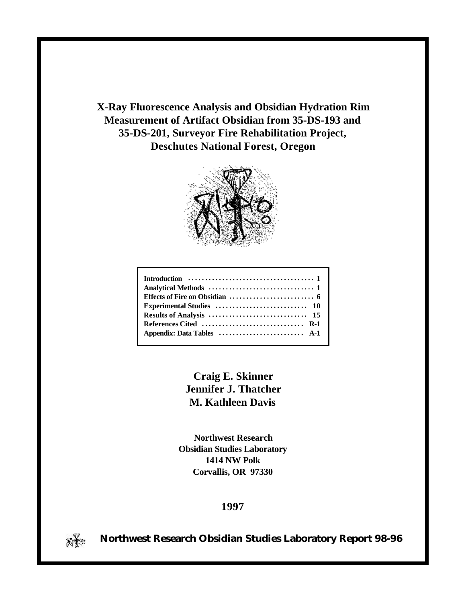**X-Ray Fluorescence Analysis and Obsidian Hydration Rim Measurement of Artifact Obsidian from 35-DS-193 and 35-DS-201, Surveyor Fire Rehabilitation Project, Deschutes National Forest, Oregon**



| Introduction $\ldots \ldots \ldots \ldots \ldots \ldots \ldots \ldots \ldots \ldots$ |
|--------------------------------------------------------------------------------------|
|                                                                                      |
|                                                                                      |
|                                                                                      |
|                                                                                      |
|                                                                                      |
|                                                                                      |
|                                                                                      |

**Craig E. Skinner Jennifer J. Thatcher M. Kathleen Davis**

**Northwest Research Obsidian Studies Laboratory 1414 NW Polk Corvallis, OR 97330**

**1997**



 **Northwest Research Obsidian Studies Laboratory Report 98-96**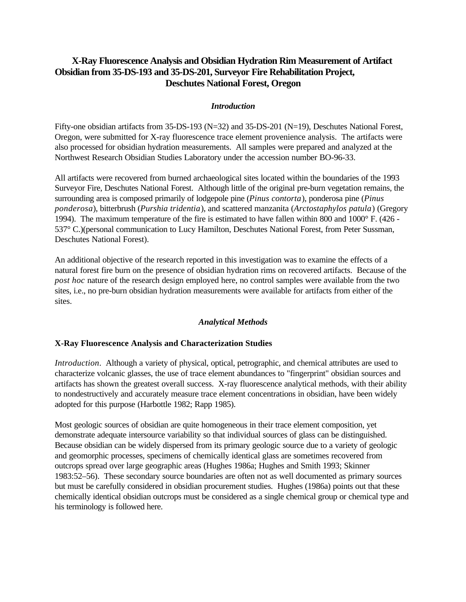## **X-Ray Fluorescence Analysis and Obsidian Hydration Rim Measurement of Artifact Obsidian from 35-DS-193 and 35-DS-201, Surveyor Fire Rehabilitation Project, Deschutes National Forest, Oregon**

## *Introduction*

Fifty-one obsidian artifacts from 35-DS-193 (N=32) and 35-DS-201 (N=19), Deschutes National Forest, Oregon, were submitted for X-ray fluorescence trace element provenience analysis. The artifacts were also processed for obsidian hydration measurements. All samples were prepared and analyzed at the Northwest Research Obsidian Studies Laboratory under the accession number BO-96-33.

All artifacts were recovered from burned archaeological sites located within the boundaries of the 1993 Surveyor Fire, Deschutes National Forest. Although little of the original pre-burn vegetation remains, the surrounding area is composed primarily of lodgepole pine (*Pinus contorta*), ponderosa pine (*Pinus ponderosa*), bitterbrush (*Purshia tridentia*), and scattered manzanita (*Arctostaphylos patula*) (Gregory 1994). The maximum temperature of the fire is estimated to have fallen within 800 and 1000° F. (426 - 537° C.)(personal communication to Lucy Hamilton, Deschutes National Forest, from Peter Sussman, Deschutes National Forest).

An additional objective of the research reported in this investigation was to examine the effects of a natural forest fire burn on the presence of obsidian hydration rims on recovered artifacts. Because of the *post hoc* nature of the research design employed here, no control samples were available from the two sites, i.e., no pre-burn obsidian hydration measurements were available for artifacts from either of the sites.

## *Analytical Methods*

## **X-Ray Fluorescence Analysis and Characterization Studies**

*Introduction*. Although a variety of physical, optical, petrographic, and chemical attributes are used to characterize volcanic glasses, the use of trace element abundances to "fingerprint" obsidian sources and artifacts has shown the greatest overall success. X-ray fluorescence analytical methods, with their ability to nondestructively and accurately measure trace element concentrations in obsidian, have been widely adopted for this purpose (Harbottle 1982; Rapp 1985).

Most geologic sources of obsidian are quite homogeneous in their trace element composition, yet demonstrate adequate intersource variability so that individual sources of glass can be distinguished. Because obsidian can be widely dispersed from its primary geologic source due to a variety of geologic and geomorphic processes, specimens of chemically identical glass are sometimes recovered from outcrops spread over large geographic areas (Hughes 1986a; Hughes and Smith 1993; Skinner 1983:52–56). These secondary source boundaries are often not as well documented as primary sources but must be carefully considered in obsidian procurement studies. Hughes (1986a) points out that these chemically identical obsidian outcrops must be considered as a single chemical group or chemical type and his terminology is followed here.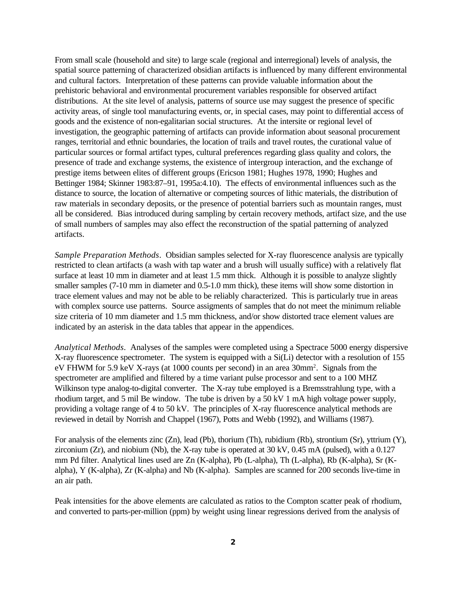From small scale (household and site) to large scale (regional and interregional) levels of analysis, the spatial source patterning of characterized obsidian artifacts is influenced by many different environmental and cultural factors. Interpretation of these patterns can provide valuable information about the prehistoric behavioral and environmental procurement variables responsible for observed artifact distributions. At the site level of analysis, patterns of source use may suggest the presence of specific activity areas, of single tool manufacturing events, or, in special cases, may point to differential access of goods and the existence of non-egalitarian social structures. At the intersite or regional level of investigation, the geographic patterning of artifacts can provide information about seasonal procurement ranges, territorial and ethnic boundaries, the location of trails and travel routes, the curational value of particular sources or formal artifact types, cultural preferences regarding glass quality and colors, the presence of trade and exchange systems, the existence of intergroup interaction, and the exchange of prestige items between elites of different groups (Ericson 1981; Hughes 1978, 1990; Hughes and Bettinger 1984; Skinner 1983:87–91, 1995a:4.10). The effects of environmental influences such as the distance to source, the location of alternative or competing sources of lithic materials, the distribution of raw materials in secondary deposits, or the presence of potential barriers such as mountain ranges, must all be considered. Bias introduced during sampling by certain recovery methods, artifact size, and the use of small numbers of samples may also effect the reconstruction of the spatial patterning of analyzed artifacts.

*Sample Preparation Methods*. Obsidian samples selected for X-ray fluorescence analysis are typically restricted to clean artifacts (a wash with tap water and a brush will usually suffice) with a relatively flat surface at least 10 mm in diameter and at least 1.5 mm thick. Although it is possible to analyze slightly smaller samples (7-10 mm in diameter and 0.5-1.0 mm thick), these items will show some distortion in trace element values and may not be able to be reliably characterized. This is particularly true in areas with complex source use patterns. Source assigments of samples that do not meet the minimum reliable size criteria of 10 mm diameter and 1.5 mm thickness, and/or show distorted trace element values are indicated by an asterisk in the data tables that appear in the appendices.

*Analytical Methods*. Analyses of the samples were completed using a Spectrace 5000 energy dispersive X-ray fluorescence spectrometer. The system is equipped with a Si(Li) detector with a resolution of 155 eV FHWM for 5.9 keV X-rays (at 1000 counts per second) in an area 30mm<sup>2</sup> . Signals from the spectrometer are amplified and filtered by a time variant pulse processor and sent to a 100 MHZ Wilkinson type analog-to-digital converter. The X-ray tube employed is a Bremsstrahlung type, with a rhodium target, and 5 mil Be window. The tube is driven by a 50 kV 1 mA high voltage power supply, providing a voltage range of 4 to 50 kV. The principles of X-ray fluorescence analytical methods are reviewed in detail by Norrish and Chappel (1967), Potts and Webb (1992), and Williams (1987).

For analysis of the elements zinc (Zn), lead (Pb), thorium (Th), rubidium (Rb), strontium (Sr), yttrium (Y), zirconium (Zr), and niobium (Nb), the X-ray tube is operated at 30 kV, 0.45 mA (pulsed), with a 0.127 mm Pd filter. Analytical lines used are Zn (K-alpha), Pb (L-alpha), Th (L-alpha), Rb (K-alpha), Sr (Kalpha), Y (K-alpha), Zr (K-alpha) and Nb (K-alpha). Samples are scanned for 200 seconds live-time in an air path.

Peak intensities for the above elements are calculated as ratios to the Compton scatter peak of rhodium, and converted to parts-per-million (ppm) by weight using linear regressions derived from the analysis of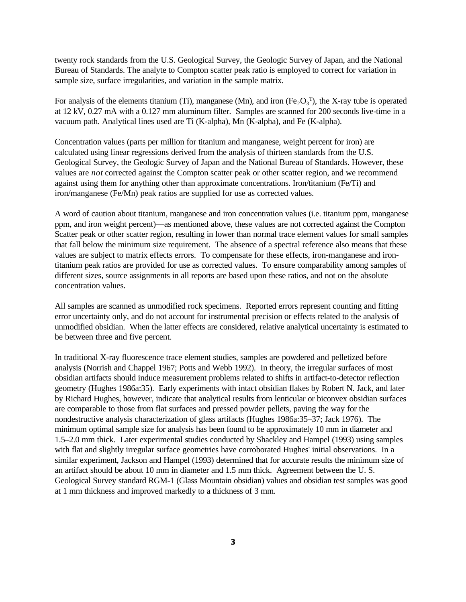twenty rock standards from the U.S. Geological Survey, the Geologic Survey of Japan, and the National Bureau of Standards. The analyte to Compton scatter peak ratio is employed to correct for variation in sample size, surface irregularities, and variation in the sample matrix.

For analysis of the elements titanium (Ti), manganese (Mn), and iron ( $Fe<sub>2</sub>O<sub>3</sub><sup>T</sup>$ ), the X-ray tube is operated at 12 kV, 0.27 mA with a 0.127 mm aluminum filter. Samples are scanned for 200 seconds live-time in a vacuum path. Analytical lines used are Ti (K-alpha), Mn (K-alpha), and Fe (K-alpha).

Concentration values (parts per million for titanium and manganese, weight percent for iron) are calculated using linear regressions derived from the analysis of thirteen standards from the U.S. Geological Survey, the Geologic Survey of Japan and the National Bureau of Standards. However, these values are *not* corrected against the Compton scatter peak or other scatter region, and we recommend against using them for anything other than approximate concentrations. Iron/titanium (Fe/Ti) and iron/manganese (Fe/Mn) peak ratios are supplied for use as corrected values.

A word of caution about titanium, manganese and iron concentration values (i.e. titanium ppm, manganese ppm, and iron weight percent)—as mentioned above, these values are not corrected against the Compton Scatter peak or other scatter region, resulting in lower than normal trace element values for small samples that fall below the minimum size requirement. The absence of a spectral reference also means that these values are subject to matrix effects errors. To compensate for these effects, iron-manganese and irontitanium peak ratios are provided for use as corrected values. To ensure comparability among samples of different sizes, source assignments in all reports are based upon these ratios, and not on the absolute concentration values.

All samples are scanned as unmodified rock specimens. Reported errors represent counting and fitting error uncertainty only, and do not account for instrumental precision or effects related to the analysis of unmodified obsidian. When the latter effects are considered, relative analytical uncertainty is estimated to be between three and five percent.

In traditional X-ray fluorescence trace element studies, samples are powdered and pelletized before analysis (Norrish and Chappel 1967; Potts and Webb 1992). In theory, the irregular surfaces of most obsidian artifacts should induce measurement problems related to shifts in artifact-to-detector reflection geometry (Hughes 1986a:35). Early experiments with intact obsidian flakes by Robert N. Jack, and later by Richard Hughes, however, indicate that analytical results from lenticular or biconvex obsidian surfaces are comparable to those from flat surfaces and pressed powder pellets, paving the way for the nondestructive analysis characterization of glass artifacts (Hughes 1986a:35–37; Jack 1976). The minimum optimal sample size for analysis has been found to be approximately 10 mm in diameter and 1.5–2.0 mm thick. Later experimental studies conducted by Shackley and Hampel (1993) using samples with flat and slightly irregular surface geometries have corroborated Hughes' initial observations. In a similar experiment, Jackson and Hampel (1993) determined that for accurate results the minimum size of an artifact should be about 10 mm in diameter and 1.5 mm thick. Agreement between the U. S. Geological Survey standard RGM-1 (Glass Mountain obsidian) values and obsidian test samples was good at 1 mm thickness and improved markedly to a thickness of 3 mm.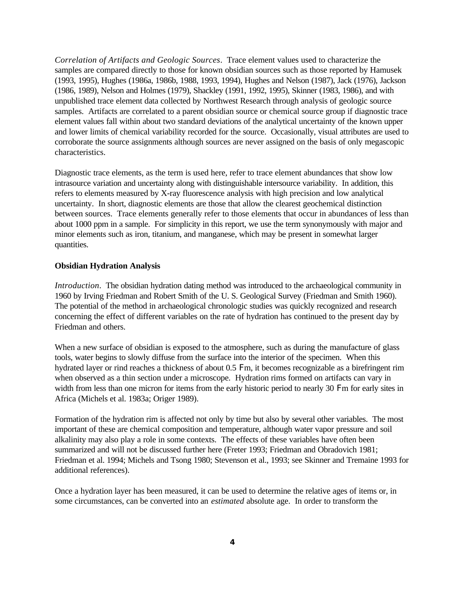*Correlation of Artifacts and Geologic Sources*. Trace element values used to characterize the samples are compared directly to those for known obsidian sources such as those reported by Hamusek (1993, 1995), Hughes (1986a, 1986b, 1988, 1993, 1994), Hughes and Nelson (1987), Jack (1976), Jackson (1986, 1989), Nelson and Holmes (1979), Shackley (1991, 1992, 1995), Skinner (1983, 1986), and with unpublished trace element data collected by Northwest Research through analysis of geologic source samples. Artifacts are correlated to a parent obsidian source or chemical source group if diagnostic trace element values fall within about two standard deviations of the analytical uncertainty of the known upper and lower limits of chemical variability recorded for the source. Occasionally, visual attributes are used to corroborate the source assignments although sources are never assigned on the basis of only megascopic characteristics.

Diagnostic trace elements, as the term is used here, refer to trace element abundances that show low intrasource variation and uncertainty along with distinguishable intersource variability. In addition, this refers to elements measured by X-ray fluorescence analysis with high precision and low analytical uncertainty. In short, diagnostic elements are those that allow the clearest geochemical distinction between sources. Trace elements generally refer to those elements that occur in abundances of less than about 1000 ppm in a sample. For simplicity in this report, we use the term synonymously with major and minor elements such as iron, titanium, and manganese, which may be present in somewhat larger quantities.

#### **Obsidian Hydration Analysis**

*Introduction*. The obsidian hydration dating method was introduced to the archaeological community in 1960 by Irving Friedman and Robert Smith of the U. S. Geological Survey (Friedman and Smith 1960). The potential of the method in archaeological chronologic studies was quickly recognized and research concerning the effect of different variables on the rate of hydration has continued to the present day by Friedman and others.

When a new surface of obsidian is exposed to the atmosphere, such as during the manufacture of glass tools, water begins to slowly diffuse from the surface into the interior of the specimen. When this hydrated layer or rind reaches a thickness of about 0.5 Fm, it becomes recognizable as a birefringent rim when observed as a thin section under a microscope. Hydration rims formed on artifacts can vary in width from less than one micron for items from the early historic period to nearly 30 Fm for early sites in Africa (Michels et al. 1983a; Origer 1989).

Formation of the hydration rim is affected not only by time but also by several other variables. The most important of these are chemical composition and temperature, although water vapor pressure and soil alkalinity may also play a role in some contexts. The effects of these variables have often been summarized and will not be discussed further here (Freter 1993; Friedman and Obradovich 1981; Friedman et al. 1994; Michels and Tsong 1980; Stevenson et al., 1993; see Skinner and Tremaine 1993 for additional references).

Once a hydration layer has been measured, it can be used to determine the relative ages of items or, in some circumstances, can be converted into an *estimated* absolute age. In order to transform the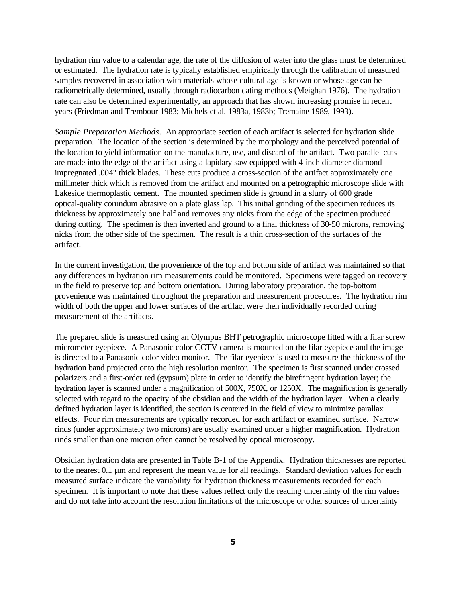hydration rim value to a calendar age, the rate of the diffusion of water into the glass must be determined or estimated. The hydration rate is typically established empirically through the calibration of measured samples recovered in association with materials whose cultural age is known or whose age can be radiometrically determined, usually through radiocarbon dating methods (Meighan 1976). The hydration rate can also be determined experimentally, an approach that has shown increasing promise in recent years (Friedman and Trembour 1983; Michels et al. 1983a, 1983b; Tremaine 1989, 1993).

*Sample Preparation Methods*. An appropriate section of each artifact is selected for hydration slide preparation. The location of the section is determined by the morphology and the perceived potential of the location to yield information on the manufacture, use, and discard of the artifact. Two parallel cuts are made into the edge of the artifact using a lapidary saw equipped with 4-inch diameter diamondimpregnated .004" thick blades. These cuts produce a cross-section of the artifact approximately one millimeter thick which is removed from the artifact and mounted on a petrographic microscope slide with Lakeside thermoplastic cement. The mounted specimen slide is ground in a slurry of 600 grade optical-quality corundum abrasive on a plate glass lap. This initial grinding of the specimen reduces its thickness by approximately one half and removes any nicks from the edge of the specimen produced during cutting. The specimen is then inverted and ground to a final thickness of 30-50 microns, removing nicks from the other side of the specimen. The result is a thin cross-section of the surfaces of the artifact.

In the current investigation, the provenience of the top and bottom side of artifact was maintained so that any differences in hydration rim measurements could be monitored. Specimens were tagged on recovery in the field to preserve top and bottom orientation. During laboratory preparation, the top-bottom provenience was maintained throughout the preparation and measurement procedures. The hydration rim width of both the upper and lower surfaces of the artifact were then individually recorded during measurement of the artifacts.

The prepared slide is measured using an Olympus BHT petrographic microscope fitted with a filar screw micrometer eyepiece. A Panasonic color CCTV camera is mounted on the filar eyepiece and the image is directed to a Panasonic color video monitor. The filar eyepiece is used to measure the thickness of the hydration band projected onto the high resolution monitor. The specimen is first scanned under crossed polarizers and a first-order red (gypsum) plate in order to identify the birefringent hydration layer; the hydration layer is scanned under a magnification of 500X, 750X, or 1250X. The magnification is generally selected with regard to the opacity of the obsidian and the width of the hydration layer. When a clearly defined hydration layer is identified, the section is centered in the field of view to minimize parallax effects. Four rim measurements are typically recorded for each artifact or examined surface. Narrow rinds (under approximately two microns) are usually examined under a higher magnification. Hydration rinds smaller than one micron often cannot be resolved by optical microscopy.

Obsidian hydration data are presented in Table B-1 of the Appendix. Hydration thicknesses are reported to the nearest 0.1 µm and represent the mean value for all readings. Standard deviation values for each measured surface indicate the variability for hydration thickness measurements recorded for each specimen. It is important to note that these values reflect only the reading uncertainty of the rim values and do not take into account the resolution limitations of the microscope or other sources of uncertainty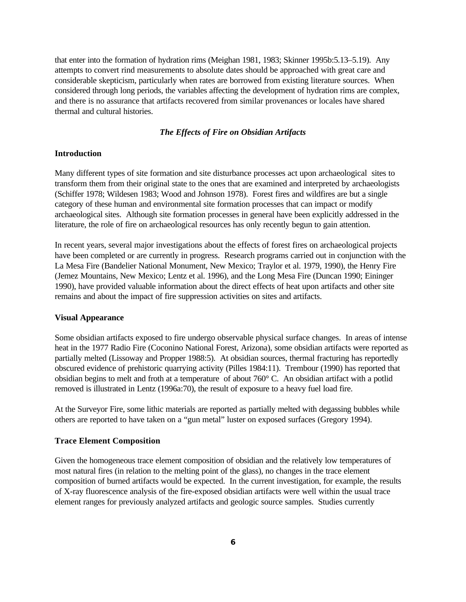that enter into the formation of hydration rims (Meighan 1981, 1983; Skinner 1995b:5.13–5.19). Any attempts to convert rind measurements to absolute dates should be approached with great care and considerable skepticism, particularly when rates are borrowed from existing literature sources. When considered through long periods, the variables affecting the development of hydration rims are complex, and there is no assurance that artifacts recovered from similar provenances or locales have shared thermal and cultural histories.

### *The Effects of Fire on Obsidian Artifacts*

#### **Introduction**

Many different types of site formation and site disturbance processes act upon archaeological sites to transform them from their original state to the ones that are examined and interpreted by archaeologists (Schiffer 1978; Wildesen 1983; Wood and Johnson 1978). Forest fires and wildfires are but a single category of these human and environmental site formation processes that can impact or modify archaeological sites. Although site formation processes in general have been explicitly addressed in the literature, the role of fire on archaeological resources has only recently begun to gain attention.

In recent years, several major investigations about the effects of forest fires on archaeological projects have been completed or are currently in progress. Research programs carried out in conjunction with the La Mesa Fire (Bandelier National Monument, New Mexico; Traylor et al. 1979, 1990), the Henry Fire (Jemez Mountains, New Mexico; Lentz et al. 1996), and the Long Mesa Fire (Duncan 1990; Eininger 1990), have provided valuable information about the direct effects of heat upon artifacts and other site remains and about the impact of fire suppression activities on sites and artifacts.

#### **Visual Appearance**

Some obsidian artifacts exposed to fire undergo observable physical surface changes. In areas of intense heat in the 1977 Radio Fire (Coconino National Forest, Arizona), some obsidian artifacts were reported as partially melted (Lissoway and Propper 1988:5). At obsidian sources, thermal fracturing has reportedly obscured evidence of prehistoric quarrying activity (Pilles 1984:11). Trembour (1990) has reported that obsidian begins to melt and froth at a temperature of about 760° C. An obsidian artifact with a potlid removed is illustrated in Lentz (1996a:70), the result of exposure to a heavy fuel load fire.

At the Surveyor Fire, some lithic materials are reported as partially melted with degassing bubbles while others are reported to have taken on a "gun metal" luster on exposed surfaces (Gregory 1994).

#### **Trace Element Composition**

Given the homogeneous trace element composition of obsidian and the relatively low temperatures of most natural fires (in relation to the melting point of the glass), no changes in the trace element composition of burned artifacts would be expected. In the current investigation, for example, the results of X-ray fluorescence analysis of the fire-exposed obsidian artifacts were well within the usual trace element ranges for previously analyzed artifacts and geologic source samples. Studies currently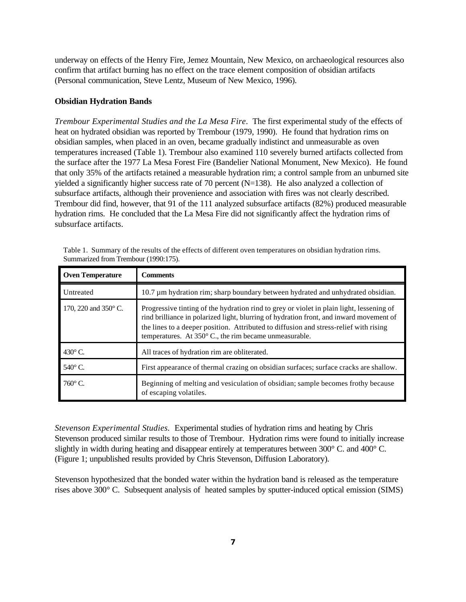underway on effects of the Henry Fire, Jemez Mountain, New Mexico, on archaeological resources also confirm that artifact burning has no effect on the trace element composition of obsidian artifacts (Personal communication, Steve Lentz, Museum of New Mexico, 1996).

#### **Obsidian Hydration Bands**

*Trembour Experimental Studies and the La Mesa Fire*. The first experimental study of the effects of heat on hydrated obsidian was reported by Trembour (1979, 1990). He found that hydration rims on obsidian samples, when placed in an oven, became gradually indistinct and unmeasurable as oven temperatures increased (Table 1). Trembour also examined 110 severely burned artifacts collected from the surface after the 1977 La Mesa Forest Fire (Bandelier National Monument, New Mexico). He found that only 35% of the artifacts retained a measurable hydration rim; a control sample from an unburned site yielded a significantly higher success rate of 70 percent  $(N=138)$ . He also analyzed a collection of subsurface artifacts, although their provenience and association with fires was not clearly described. Trembour did find, however, that 91 of the 111 analyzed subsurface artifacts (82%) produced measurable hydration rims. He concluded that the La Mesa Fire did not significantly affect the hydration rims of subsurface artifacts.

| <b>Oven Temperature</b> | <b>Comments</b>                                                                                                                                                                                                                                                                                                                                 |
|-------------------------|-------------------------------------------------------------------------------------------------------------------------------------------------------------------------------------------------------------------------------------------------------------------------------------------------------------------------------------------------|
| Untreated               | 10.7 μm hydration rim; sharp boundary between hydrated and unhydrated obsidian.                                                                                                                                                                                                                                                                 |
| 170, 220 and 350° C.    | Progressive tinting of the hydration rind to grey or violet in plain light, lessening of<br>rind brilliance in polarized light, blurring of hydration front, and inward movement of<br>the lines to a deeper position. Attributed to diffusion and stress-relief with rising<br>temperatures. At $350^{\circ}$ C., the rim became unmeasurable. |
| 430 $\rm{^{\circ}C}$ .  | All traces of hydration rim are obliterated.                                                                                                                                                                                                                                                                                                    |
| 540°C.                  | First appearance of thermal crazing on obsidian surfaces; surface cracks are shallow.                                                                                                                                                                                                                                                           |
| $760^\circ$ C.          | Beginning of melting and vesiculation of obsidian; sample becomes frothy because<br>of escaping volatiles.                                                                                                                                                                                                                                      |

Table 1. Summary of the results of the effects of different oven temperatures on obsidian hydration rims. Summarized from Trembour (1990:175).

*Stevenson Experimental Studies.* Experimental studies of hydration rims and heating by Chris Stevenson produced similar results to those of Trembour. Hydration rims were found to initially increase slightly in width during heating and disappear entirely at temperatures between 300° C. and 400° C. (Figure 1; unpublished results provided by Chris Stevenson, Diffusion Laboratory).

Stevenson hypothesized that the bonded water within the hydration band is released as the temperature rises above 300° C. Subsequent analysis of heated samples by sputter-induced optical emission (SIMS)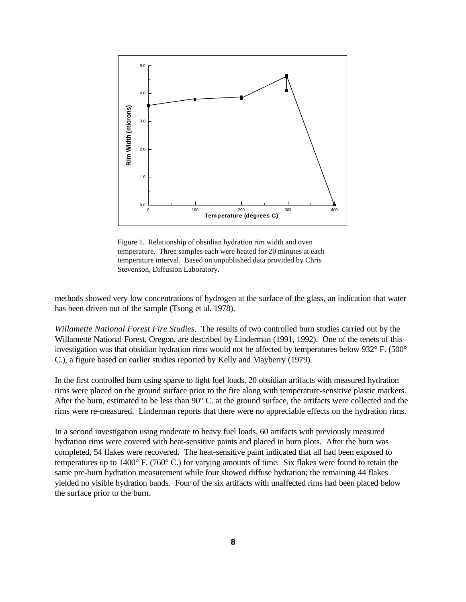

Figure 1. Relationship of obsidian hydration rim width and oven temperature. Three samples each were heated for 20 minutes at each temperature interval. Based on unpublished data provided by Chris Stevenson, Diffusion Laboratory.

methods showed very low concentrations of hydrogen at the surface of the glass, an indication that water has been driven out of the sample (Tsong et al. 1978).

*Willamette National Forest Fire Studies*. The results of two controlled burn studies carried out by the Willamette National Forest, Oregon, are described by Linderman (1991, 1992). One of the tenets of this investigation was that obsidian hydration rims would not be affected by temperatures below 932° F. (500° C.), a figure based on earlier studies reported by Kelly and Mayberry (1979).

In the first controlled burn using sparse to light fuel loads, 20 obsidian artifacts with measured hydration rims were placed on the ground surface prior to the fire along with temperature-sensitive plastic markers. After the burn, estimated to be less than 90° C. at the ground surface, the artifacts were collected and the rims were re-measured. Linderman reports that there were no appreciable effects on the hydration rims.

In a second investigation using moderate to heavy fuel loads, 60 artifacts with previously measured hydration rims were covered with heat-sensitive paints and placed in burn plots. After the burn was completed, 54 flakes were recovered. The heat-sensitive paint indicated that all had been exposed to temperatures up to 1400° F. (760° C.) for varying amounts of time. Six flakes were found to retain the same pre-burn hydration measurement while four showed diffuse hydration; the remaining 44 flakes yielded no visible hydration bands. Four of the six artifacts with unaffected rims had been placed below the surface prior to the burn.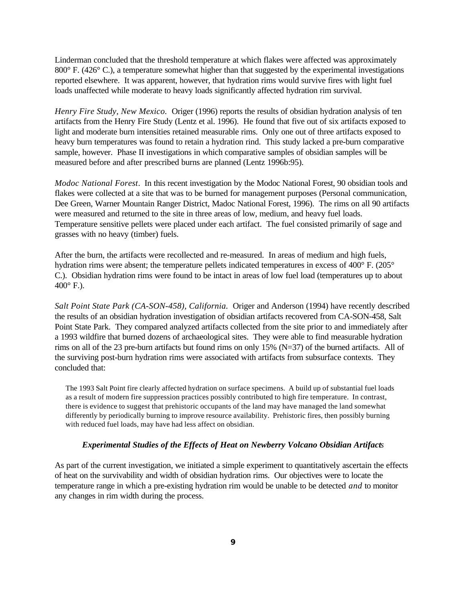Linderman concluded that the threshold temperature at which flakes were affected was approximately 800° F. (426° C.), a temperature somewhat higher than that suggested by the experimental investigations reported elsewhere. It was apparent, however, that hydration rims would survive fires with light fuel loads unaffected while moderate to heavy loads significantly affected hydration rim survival.

*Henry Fire Study, New Mexico.* Origer (1996) reports the results of obsidian hydration analysis of ten artifacts from the Henry Fire Study (Lentz et al. 1996). He found that five out of six artifacts exposed to light and moderate burn intensities retained measurable rims. Only one out of three artifacts exposed to heavy burn temperatures was found to retain a hydration rind. This study lacked a pre-burn comparative sample, however. Phase II investigations in which comparative samples of obsidian samples will be measured before and after prescribed burns are planned (Lentz 1996b:95).

*Modoc National Forest*. In this recent investigation by the Modoc National Forest, 90 obsidian tools and flakes were collected at a site that was to be burned for management purposes (Personal communication, Dee Green, Warner Mountain Ranger District, Madoc National Forest, 1996). The rims on all 90 artifacts were measured and returned to the site in three areas of low, medium, and heavy fuel loads. Temperature sensitive pellets were placed under each artifact. The fuel consisted primarily of sage and grasses with no heavy (timber) fuels.

After the burn, the artifacts were recollected and re-measured. In areas of medium and high fuels, hydration rims were absent; the temperature pellets indicated temperatures in excess of 400° F. (205° C.). Obsidian hydration rims were found to be intact in areas of low fuel load (temperatures up to about  $400^{\circ}$  F.).

*Salt Point State Park (CA-SON-458), California.* Origer and Anderson (1994) have recently described the results of an obsidian hydration investigation of obsidian artifacts recovered from CA-SON-458, Salt Point State Park. They compared analyzed artifacts collected from the site prior to and immediately after a 1993 wildfire that burned dozens of archaeological sites. They were able to find measurable hydration rims on all of the 23 pre-burn artifacts but found rims on only 15% (N=37) of the burned artifacts. All of the surviving post-burn hydration rims were associated with artifacts from subsurface contexts. They concluded that:

The 1993 Salt Point fire clearly affected hydration on surface specimens. A build up of substantial fuel loads as a result of modern fire suppression practices possibly contributed to high fire temperature. In contrast, there is evidence to suggest that prehistoric occupants of the land may have managed the land somewhat differently by periodically burning to improve resource availability. Prehistoric fires, then possibly burning with reduced fuel loads, may have had less affect on obsidian.

### *Experimental Studies of the Effects of Heat on Newberry Volcano Obsidian Artifacts*

As part of the current investigation, we initiated a simple experiment to quantitatively ascertain the effects of heat on the survivability and width of obsidian hydration rims. Our objectives were to locate the temperature range in which a pre-existing hydration rim would be unable to be detected *and* to monitor any changes in rim width during the process.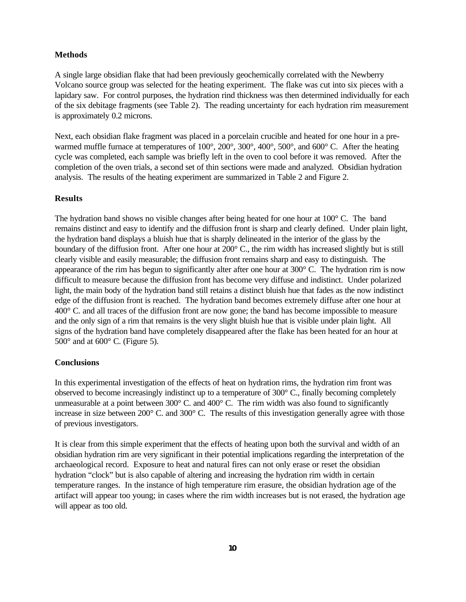## **Methods**

A single large obsidian flake that had been previously geochemically correlated with the Newberry Volcano source group was selected for the heating experiment. The flake was cut into six pieces with a lapidary saw. For control purposes, the hydration rind thickness was then determined individually for each of the six debitage fragments (see Table 2). The reading uncertainty for each hydration rim measurement is approximately 0.2 microns.

Next, each obsidian flake fragment was placed in a porcelain crucible and heated for one hour in a prewarmed muffle furnace at temperatures of 100°, 200°, 300°, 400°, 500°, and 600° C. After the heating cycle was completed, each sample was briefly left in the oven to cool before it was removed. After the completion of the oven trials, a second set of thin sections were made and analyzed. Obsidian hydration analysis. The results of the heating experiment are summarized in Table 2 and Figure 2.

#### **Results**

The hydration band shows no visible changes after being heated for one hour at 100° C. The band remains distinct and easy to identify and the diffusion front is sharp and clearly defined. Under plain light, the hydration band displays a bluish hue that is sharply delineated in the interior of the glass by the boundary of the diffusion front. After one hour at 200° C., the rim width has increased slightly but is still clearly visible and easily measurable; the diffusion front remains sharp and easy to distinguish. The appearance of the rim has begun to significantly alter after one hour at  $300^{\circ}$  C. The hydration rim is now difficult to measure because the diffusion front has become very diffuse and indistinct. Under polarized light, the main body of the hydration band still retains a distinct bluish hue that fades as the now indistinct edge of the diffusion front is reached. The hydration band becomes extremely diffuse after one hour at 400° C. and all traces of the diffusion front are now gone; the band has become impossible to measure and the only sign of a rim that remains is the very slight bluish hue that is visible under plain light. All signs of the hydration band have completely disappeared after the flake has been heated for an hour at  $500^\circ$  and at  $600^\circ$  C. (Figure 5).

#### **Conclusions**

In this experimental investigation of the effects of heat on hydration rims, the hydration rim front was observed to become increasingly indistinct up to a temperature of 300° C., finally becoming completely unmeasurable at a point between 300° C. and 400° C. The rim width was also found to significantly increase in size between 200° C. and 300° C. The results of this investigation generally agree with those of previous investigators.

It is clear from this simple experiment that the effects of heating upon both the survival and width of an obsidian hydration rim are very significant in their potential implications regarding the interpretation of the archaeological record. Exposure to heat and natural fires can not only erase or reset the obsidian hydration "clock" but is also capable of altering and increasing the hydration rim width in certain temperature ranges. In the instance of high temperature rim erasure, the obsidian hydration age of the artifact will appear too young; in cases where the rim width increases but is not erased, the hydration age will appear as too old.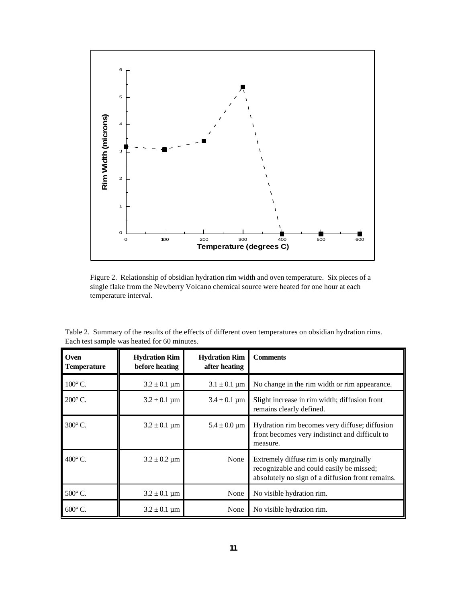

Figure 2. Relationship of obsidian hydration rim width and oven temperature. Six pieces of a single flake from the Newberry Volcano chemical source were heated for one hour at each temperature interval.

| Oven<br><b>Temperature</b> | <b>Hydration Rim</b><br>before heating | <b>Hydration Rim</b><br>after heating | <b>Comments</b>                                                                                                                          |
|----------------------------|----------------------------------------|---------------------------------------|------------------------------------------------------------------------------------------------------------------------------------------|
| $100^{\circ}$ C.           | $3.2 \pm 0.1 \,\mu m$                  | $3.1 \pm 0.1 \,\mu m$                 | No change in the rim width or rim appearance.                                                                                            |
| $200^\circ$ C.             | $3.2 \pm 0.1 \,\mathrm{\mu m}$         | $3.4 \pm 0.1 \,\mathrm{\mu m}$        | Slight increase in rim width; diffusion front<br>remains clearly defined.                                                                |
| $300^\circ$ C.             | $3.2 \pm 0.1 \,\mathrm{\mu m}$         | $5.4 \pm 0.0 \,\mathrm{\mu m}$        | Hydration rim becomes very diffuse; diffusion<br>front becomes very indistinct and difficult to<br>measure.                              |
| $400^\circ$ C.             | $3.2 \pm 0.2 \,\mathrm{\mu m}$         | None                                  | Extremely diffuse rim is only marginally<br>recognizable and could easily be missed;<br>absolutely no sign of a diffusion front remains. |
| 500°C.                     | $3.2 \pm 0.1 \,\mathrm{\mu m}$         | None                                  | No visible hydration rim.                                                                                                                |
| $600^{\circ}$ C.           | $3.2 \pm 0.1 \,\mathrm{\mu m}$         | None                                  | No visible hydration rim.                                                                                                                |

Table 2. Summary of the results of the effects of different oven temperatures on obsidian hydration rims. Each test sample was heated for 60 minutes.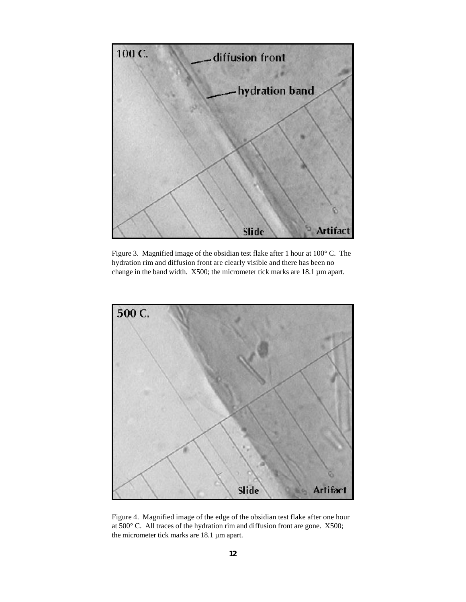

Figure 3. Magnified image of the obsidian test flake after 1 hour at 100° C. The hydration rim and diffusion front are clearly visible and there has been no change in the band width. X500; the micrometer tick marks are 18.1 µm apart.



Figure 4. Magnified image of the edge of the obsidian test flake after one hour at 500° C. All traces of the hydration rim and diffusion front are gone. X500; the micrometer tick marks are 18.1 µm apart.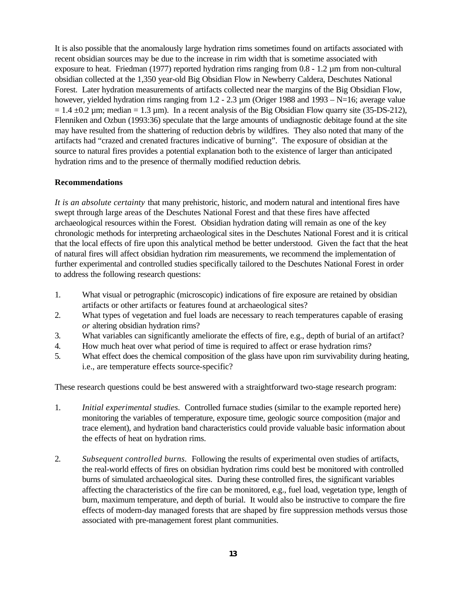It is also possible that the anomalously large hydration rims sometimes found on artifacts associated with recent obsidian sources may be due to the increase in rim width that is sometime associated with exposure to heat. Friedman (1977) reported hydration rims ranging from 0.8 - 1.2 µm from non-cultural obsidian collected at the 1,350 year-old Big Obsidian Flow in Newberry Caldera, Deschutes National Forest. Later hydration measurements of artifacts collected near the margins of the Big Obsidian Flow, however, yielded hydration rims ranging from 1.2 - 2.3  $\mu$ m (Origer 1988 and 1993 – N=16; average value  $= 1.4 \pm 0.2 \,\mu$ m; median  $= 1.3 \,\mu$ m). In a recent analysis of the Big Obsidian Flow quarry site (35-DS-212), Flenniken and Ozbun (1993:36) speculate that the large amounts of undiagnostic debitage found at the site may have resulted from the shattering of reduction debris by wildfires. They also noted that many of the artifacts had "crazed and crenated fractures indicative of burning". The exposure of obsidian at the source to natural fires provides a potential explanation both to the existence of larger than anticipated hydration rims and to the presence of thermally modified reduction debris.

## **Recommendations**

*It is an absolute certainty* that many prehistoric, historic, and modern natural and intentional fires have swept through large areas of the Deschutes National Forest and that these fires have affected archaeological resources within the Forest. Obsidian hydration dating will remain as one of the key chronologic methods for interpreting archaeological sites in the Deschutes National Forest and it is critical that the local effects of fire upon this analytical method be better understood. Given the fact that the heat of natural fires will affect obsidian hydration rim measurements, we recommend the implementation of further experimental and controlled studies specifically tailored to the Deschutes National Forest in order to address the following research questions:

- 1. What visual or petrographic (microscopic) indications of fire exposure are retained by obsidian artifacts or other artifacts or features found at archaeological sites?
- 2. What types of vegetation and fuel loads are necessary to reach temperatures capable of erasing *or* altering obsidian hydration rims?
- 3. What variables can significantly ameliorate the effects of fire, e.g., depth of burial of an artifact?
- 4. How much heat over what period of time is required to affect or erase hydration rims?
- 5. What effect does the chemical composition of the glass have upon rim survivability during heating, i.e., are temperature effects source-specific?

These research questions could be best answered with a straightforward two-stage research program:

- 1. *Initial experimental studies.* Controlled furnace studies (similar to the example reported here) monitoring the variables of temperature, exposure time, geologic source composition (major and trace element), and hydration band characteristics could provide valuable basic information about the effects of heat on hydration rims.
- 2. *Subsequent controlled burns.* Following the results of experimental oven studies of artifacts, the real-world effects of fires on obsidian hydration rims could best be monitored with controlled burns of simulated archaeological sites. During these controlled fires, the significant variables affecting the characteristics of the fire can be monitored, e.g., fuel load, vegetation type, length of burn, maximum temperature, and depth of burial. It would also be instructive to compare the fire effects of modern-day managed forests that are shaped by fire suppression methods versus those associated with pre-management forest plant communities.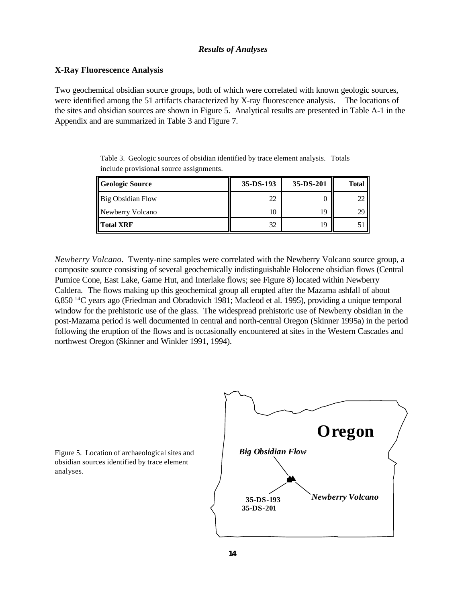## *Results of Analyses*

## **X-Ray Fluorescence Analysis**

Two geochemical obsidian source groups, both of which were correlated with known geologic sources, were identified among the 51 artifacts characterized by X-ray fluorescence analysis. The locations of the sites and obsidian sources are shown in Figure 5. Analytical results are presented in Table A-1 in the Appendix and are summarized in Table 3 and Figure 7.

Table 3. Geologic sources of obsidian identified by trace element analysis. Totals include provisional source assignments.

| <b>Geologic Source</b> | $35-DS-193$ | 35-DS-201 | <b>Total</b> |
|------------------------|-------------|-----------|--------------|
| Big Obsidian Flow      | 22          |           |              |
| Newberry Volcano       |             | 19        | 29           |
| <b>Total XRF</b>       | 32          | 1Ç        |              |

*Newberry Volcano*. Twenty-nine samples were correlated with the Newberry Volcano source group, a composite source consisting of several geochemically indistinguishable Holocene obsidian flows (Central Pumice Cone, East Lake, Game Hut, and Interlake flows; see Figure 8) located within Newberry Caldera*.* The flows making up this geochemical group all erupted after the Mazama ashfall of about 6,850 <sup>14</sup>C years ago (Friedman and Obradovich 1981; Macleod et al. 1995), providing a unique temporal window for the prehistoric use of the glass. The widespread prehistoric use of Newberry obsidian in the post-Mazama period is well documented in central and north-central Oregon (Skinner 1995a) in the period following the eruption of the flows and is occasionally encountered at sites in the Western Cascades and northwest Oregon (Skinner and Winkler 1991, 1994).



Figure 5. Location of archaeological sites and obsidian sources identified by trace element analyses.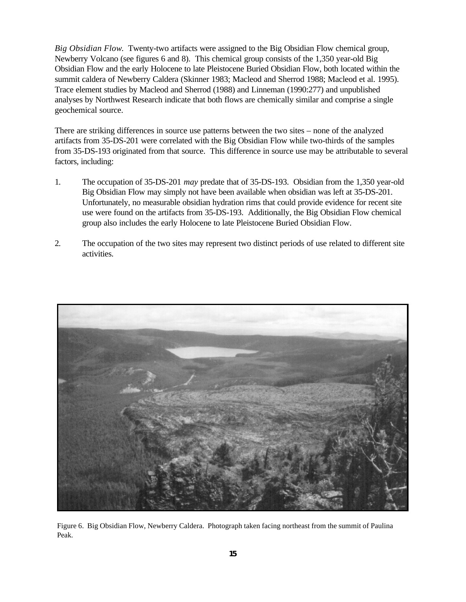*Big Obsidian Flow*. Twenty-two artifacts were assigned to the Big Obsidian Flow chemical group, Newberry Volcano (see figures 6 and 8). This chemical group consists of the 1,350 year-old Big Obsidian Flow and the early Holocene to late Pleistocene Buried Obsidian Flow, both located within the summit caldera of Newberry Caldera (Skinner 1983; Macleod and Sherrod 1988; Macleod et al. 1995). Trace element studies by Macleod and Sherrod (1988) and Linneman (1990:277) and unpublished analyses by Northwest Research indicate that both flows are chemically similar and comprise a single geochemical source.

There are striking differences in source use patterns between the two sites – none of the analyzed artifacts from 35-DS-201 were correlated with the Big Obsidian Flow while two-thirds of the samples from 35-DS-193 originated from that source. This difference in source use may be attributable to several factors, including:

- 1. The occupation of 35-DS-201 *may* predate that of 35-DS-193. Obsidian from the 1,350 year-old Big Obsidian Flow may simply not have been available when obsidian was left at 35-DS-201. Unfortunately, no measurable obsidian hydration rims that could provide evidence for recent site use were found on the artifacts from 35-DS-193. Additionally, the Big Obsidian Flow chemical group also includes the early Holocene to late Pleistocene Buried Obsidian Flow.
- 2. The occupation of the two sites may represent two distinct periods of use related to different site activities.



Figure 6. Big Obsidian Flow, Newberry Caldera. Photograph taken facing northeast from the summit of Paulina Peak.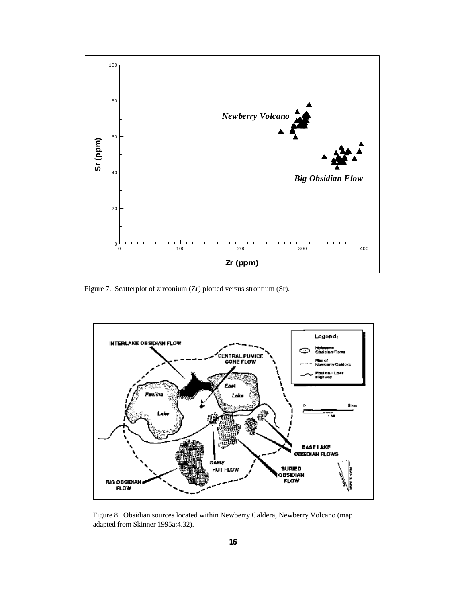

Figure 7. Scatterplot of zirconium (Zr) plotted versus strontium (Sr).



Figure 8. Obsidian sources located within Newberry Caldera, Newberry Volcano (map adapted from Skinner 1995a:4.32).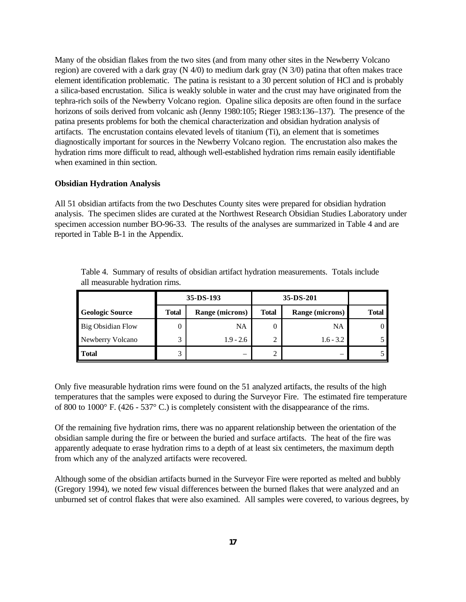Many of the obsidian flakes from the two sites (and from many other sites in the Newberry Volcano region) are covered with a dark gray (N 4/0) to medium dark gray (N 3/0) patina that often makes trace element identification problematic. The patina is resistant to a 30 percent solution of HCl and is probably a silica-based encrustation. Silica is weakly soluble in water and the crust may have originated from the tephra-rich soils of the Newberry Volcano region. Opaline silica deposits are often found in the surface horizons of soils derived from volcanic ash (Jenny 1980:105; Rieger 1983:136–137). The presence of the patina presents problems for both the chemical characterization and obsidian hydration analysis of artifacts. The encrustation contains elevated levels of titanium (Ti), an element that is sometimes diagnostically important for sources in the Newberry Volcano region. The encrustation also makes the hydration rims more difficult to read, although well-established hydration rims remain easily identifiable when examined in thin section.

#### **Obsidian Hydration Analysis**

All 51 obsidian artifacts from the two Deschutes County sites were prepared for obsidian hydration analysis. The specimen slides are curated at the Northwest Research Obsidian Studies Laboratory under specimen accession number BO-96-33. The results of the analyses are summarized in Table 4 and are reported in Table B-1 in the Appendix.

|                          |              | $35 - DS - 193$ |              |                        |       |
|--------------------------|--------------|-----------------|--------------|------------------------|-------|
| <b>Geologic Source</b>   | <b>Total</b> | Range (microns) | <b>Total</b> | <b>Range (microns)</b> | Total |
| <b>Big Obsidian Flow</b> | 0            | <b>NA</b>       |              | NA                     |       |
| Newberry Volcano         | 3            | $1.9 - 2.6$     |              | $1.6 - 3.2$            |       |
| <b>Total</b>             | 3            |                 |              |                        |       |

Table 4. Summary of results of obsidian artifact hydration measurements. Totals include all measurable hydration rims.

Only five measurable hydration rims were found on the 51 analyzed artifacts, the results of the high temperatures that the samples were exposed to during the Surveyor Fire. The estimated fire temperature of 800 to 1000° F. (426 - 537° C.) is completely consistent with the disappearance of the rims.

Of the remaining five hydration rims, there was no apparent relationship between the orientation of the obsidian sample during the fire or between the buried and surface artifacts. The heat of the fire was apparently adequate to erase hydration rims to a depth of at least six centimeters, the maximum depth from which any of the analyzed artifacts were recovered.

Although some of the obsidian artifacts burned in the Surveyor Fire were reported as melted and bubbly (Gregory 1994), we noted few visual differences between the burned flakes that were analyzed and an unburned set of control flakes that were also examined. All samples were covered, to various degrees, by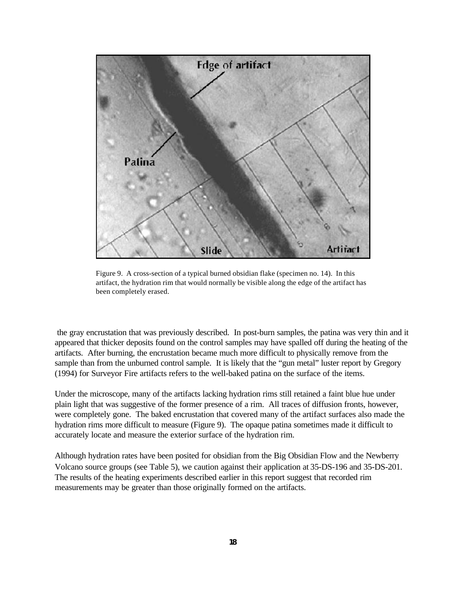

Figure 9. A cross-section of a typical burned obsidian flake (specimen no. 14). In this artifact, the hydration rim that would normally be visible along the edge of the artifact has been completely erased.

 the gray encrustation that was previously described. In post-burn samples, the patina was very thin and it appeared that thicker deposits found on the control samples may have spalled off during the heating of the artifacts. After burning, the encrustation became much more difficult to physically remove from the sample than from the unburned control sample. It is likely that the "gun metal" luster report by Gregory (1994) for Surveyor Fire artifacts refers to the well-baked patina on the surface of the items.

Under the microscope, many of the artifacts lacking hydration rims still retained a faint blue hue under plain light that was suggestive of the former presence of a rim. All traces of diffusion fronts, however, were completely gone. The baked encrustation that covered many of the artifact surfaces also made the hydration rims more difficult to measure (Figure 9). The opaque patina sometimes made it difficult to accurately locate and measure the exterior surface of the hydration rim.

Although hydration rates have been posited for obsidian from the Big Obsidian Flow and the Newberry Volcano source groups (see Table 5), we caution against their application at 35-DS-196 and 35-DS-201. The results of the heating experiments described earlier in this report suggest that recorded rim measurements may be greater than those originally formed on the artifacts.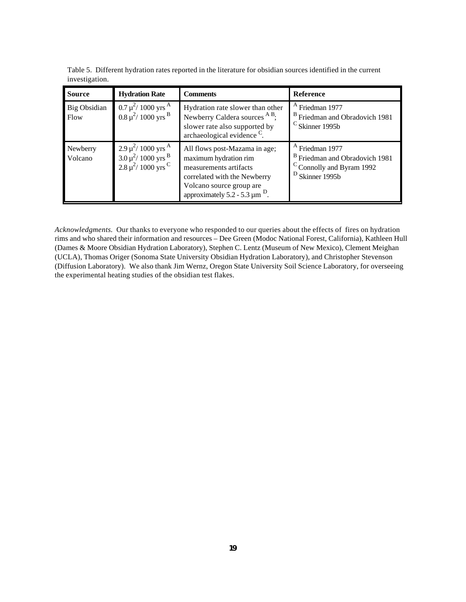| <b>Source</b>        | <b>Hydration Rate</b>                                                                                             | <b>Comments</b>                                                                                                                                                                                | <b>Reference</b>                                                                                                          |
|----------------------|-------------------------------------------------------------------------------------------------------------------|------------------------------------------------------------------------------------------------------------------------------------------------------------------------------------------------|---------------------------------------------------------------------------------------------------------------------------|
| Big Obsidian<br>Flow | $0.7 \mu^2/1000 \text{ yrs}^{\text{A}}$<br>$0.8 \mu^2 / 1000 \text{ yrs}^{\text{B}}$                              | Hydration rate slower than other<br>Newberry Caldera sources <sup>A B</sup> ;<br>slower rate also supported by<br>archaeological evidence <sup>C</sup> .                                       | <sup>A</sup> Friedman 1977<br><sup>B</sup> Friedman and Obradovich 1981<br>$\rm{c}$ Skinner 1995b                         |
| Newberry<br>Volcano  | $2.9 \mu^2$ / 1000 yrs <sup>A</sup><br>$3.0 \mu^2$ / 1000 yrs <sup>B</sup><br>$2.8 \mu^2$ / 1000 yrs <sup>C</sup> | All flows post-Mazama in age;<br>maximum hydration rim<br>measurements artifacts<br>correlated with the Newberry<br>Volcano source group are<br>approximately 5.2 - 5.3 $\mu$ m <sup>D</sup> . | <sup>A</sup> Friedman 1977<br><sup>B</sup> Friedman and Obradovich 1981<br>C Connolly and Byram 1992<br>$D$ Skinner 1995b |

Table 5. Different hydration rates reported in the literature for obsidian sources identified in the current investigation.

*Acknowledgments.* Our thanks to everyone who responded to our queries about the effects of fires on hydration rims and who shared their information and resources – Dee Green (Modoc National Forest, California), Kathleen Hull (Dames & Moore Obsidian Hydration Laboratory), Stephen C. Lentz (Museum of New Mexico), Clement Meighan (UCLA), Thomas Origer (Sonoma State University Obsidian Hydration Laboratory), and Christopher Stevenson (Diffusion Laboratory). We also thank Jim Wernz, Oregon State University Soil Science Laboratory, for overseeing the experimental heating studies of the obsidian test flakes.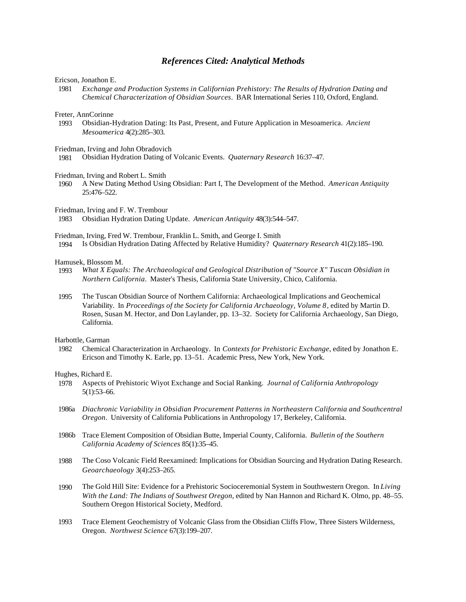### *References Cited: Analytical Methods*

Ericson, Jonathon E.

 1981 *Exchange and Production Systems in Californian Prehistory: The Results of Hydration Dating and Chemical Characterization of Obsidian Sources*. BAR International Series 110, Oxford, England.

Freter, AnnCorinne

 1993 Obsidian-Hydration Dating: Its Past, Present, and Future Application in Mesoamerica. *Ancient Mesoamerica* 4(2):285–303.

Friedman, Irving and John Obradovich

1981 Obsidian Hydration Dating of Volcanic Events. *Quaternary Research* 16:37–47.

#### Friedman, Irving and Robert L. Smith

 1960 A New Dating Method Using Obsidian: Part I, The Development of the Method. *American Antiquity* 25:476–522.

Friedman, Irving and F. W. Trembour

1983 Obsidian Hydration Dating Update. *American Antiquity* 48(3):544–547.

Friedman, Irving, Fred W. Trembour, Franklin L. Smith, and George I. Smith

1994 Is Obsidian Hydration Dating Affected by Relative Humidity? *Quaternary Research* 41(2):185–190.

#### Hamusek, Blossom M.

- 1993 *What X Equals: The Archaeological and Geological Distribution of "Source X" Tuscan Obsidian in Northern California*. Master's Thesis, California State University, Chico, California.
- 1995 The Tuscan Obsidian Source of Northern California: Archaeological Implications and Geochemical Variability. In *Proceedings of the Society for California Archaeology, Volume 8*, edited by Martin D. Rosen, Susan M. Hector, and Don Laylander, pp. 13–32. Society for California Archaeology, San Diego, California.

#### Harbottle, Garman

 1982 Chemical Characterization in Archaeology. In *Contexts for Prehistoric Exchange*, edited by Jonathon E. Ericson and Timothy K. Earle, pp. 13–51. Academic Press, New York, New York.

Hughes, Richard E.

- 1978 Aspects of Prehistoric Wiyot Exchange and Social Ranking. *Journal of California Anthropology* 5(1):53–66.
- 1986a *Diachronic Variability in Obsidian Procurement Patterns in Northeastern California and Southcentral Oregon*. University of California Publications in Anthropology 17, Berkeley, California.
- 1986b Trace Element Composition of Obsidian Butte, Imperial County, California. *Bulletin of the Southern California Academy of Sciences* 85(1):35–45.
- 1988 The Coso Volcanic Field Reexamined: Implications for Obsidian Sourcing and Hydration Dating Research. *Geoarchaeology* 3(4):253–265.
- 1990 The Gold Hill Site: Evidence for a Prehistoric Socioceremonial System in Southwestern Oregon. In *Living With the Land: The Indians of Southwest Oregon*, edited by Nan Hannon and Richard K. Olmo, pp. 48–55. Southern Oregon Historical Society, Medford.
- 1993 Trace Element Geochemistry of Volcanic Glass from the Obsidian Cliffs Flow, Three Sisters Wilderness, Oregon. *Northwest Science* 67(3):199–207.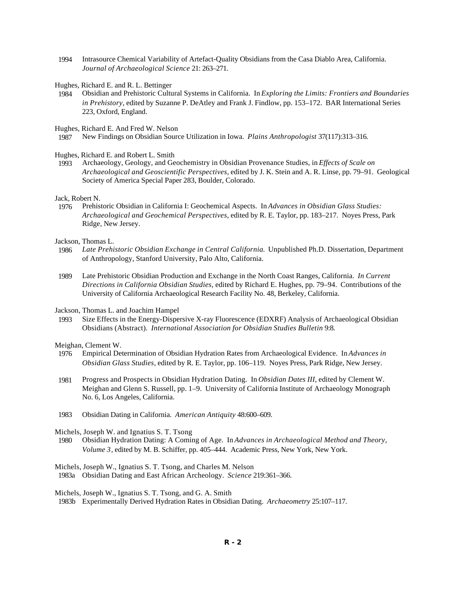- 1994 Intrasource Chemical Variability of Artefact-Quality Obsidians from the Casa Diablo Area, California. *Journal of Archaeological Science* 21: 263–271.
- Hughes, Richard E. and R. L. Bettinger
- 1984 Obsidian and Prehistoric Cultural Systems in California. In *Exploring the Limits: Frontiers and Boundaries in Prehistory*, edited by Suzanne P. DeAtley and Frank J. Findlow, pp. 153–172. BAR International Series 223, Oxford, England.

Hughes, Richard E. And Fred W. Nelson

1987 New Findings on Obsidian Source Utilization in Iowa. *Plains Anthropologist* 37(117):313–316.

Hughes, Richard E. and Robert L. Smith

 1993 Archaeology, Geology, and Geochemistry in Obsidian Provenance Studies, in *Effects of Scale on Archaeological and Geoscientific Perspectives*, edited by J. K. Stein and A. R. Linse, pp. 79–91. Geological Society of America Special Paper 283, Boulder, Colorado.

Jack, Robert N.

 1976 Prehistoric Obsidian in California I: Geochemical Aspects. In *Advances in Obsidian Glass Studies: Archaeological and Geochemical Perspectives*, edited by R. E. Taylor, pp. 183–217. Noyes Press, Park Ridge, New Jersey.

Jackson, Thomas L.

- 1986 *Late Prehistoric Obsidian Exchange in Central California.* Unpublished Ph.D. Dissertation, Department of Anthropology, Stanford University, Palo Alto, California.
- 1989 Late Prehistoric Obsidian Production and Exchange in the North Coast Ranges, California. *In Current Directions in California Obsidian Studies*, edited by Richard E. Hughes, pp. 79–94. Contributions of the University of California Archaeological Research Facility No. 48, Berkeley, California.

Jackson, Thomas L. and Joachim Hampel

 1993 Size Effects in the Energy-Dispersive X-ray Fluorescence (EDXRF) Analysis of Archaeological Obsidian Obsidians (Abstract). *International Association for Obsidian Studies Bulletin* 9:8.

Meighan, Clement W.

- 1976 Empirical Determination of Obsidian Hydration Rates from Archaeological Evidence. In *Advances in Obsidian Glass Studies*, edited by R. E. Taylor, pp. 106–119. Noyes Press, Park Ridge, New Jersey.
- 1981 Progress and Prospects in Obsidian Hydration Dating. In *Obsidian Dates III*, edited by Clement W. Meighan and Glenn S. Russell, pp. 1–9. University of California Institute of Archaeology Monograph No. 6, Los Angeles, California.
- 1983 Obsidian Dating in California. *American Antiquity* 48:600–609.

Michels, Joseph W. and Ignatius S. T. Tsong

 1980 Obsidian Hydration Dating: A Coming of Age. In *Advances in Archaeological Method and Theory*, *Volume 3*, edited by M. B. Schiffer, pp. 405–444. Academic Press, New York, New York.

Michels, Joseph W., Ignatius S. T. Tsong, and Charles M. Nelson

1983a Obsidian Dating and East African Archeology. *Science* 219:361–366.

Michels, Joseph W., Ignatius S. T. Tsong, and G. A. Smith

1983b Experimentally Derived Hydration Rates in Obsidian Dating. *Archaeometry* 25:107–117.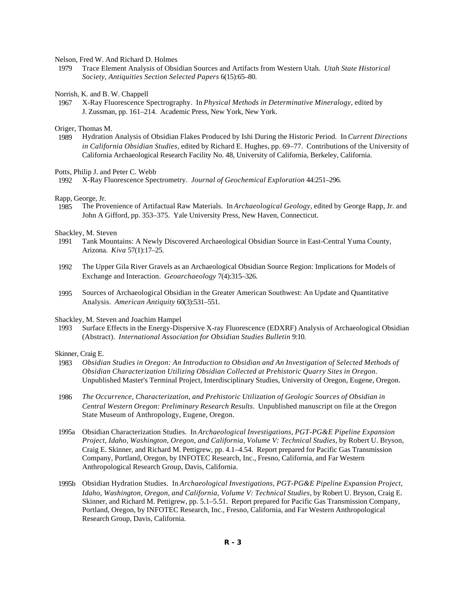#### Nelson, Fred W. And Richard D. Holmes

 1979 Trace Element Analysis of Obsidian Sources and Artifacts from Western Utah. *Utah State Historical Society, Antiquities Section Selected Papers* 6(15):65–80.

#### Norrish, K. and B. W. Chappell

 1967 X-Ray Fluorescence Spectrography. In *Physical Methods in Determinative Mineralogy*, edited by J. Zussman, pp. 161–214. Academic Press, New York, New York.

# Origer, Thomas M.<br>1989 Hydration

 1989 Hydration Analysis of Obsidian Flakes Produced by Ishi During the Historic Period. In *Current Directions in California Obsidian Studies*, edited by Richard E. Hughes, pp. 69–77. Contributions of the University of California Archaeological Research Facility No. 48, University of California, Berkeley, California.

#### Potts, Philip J. and Peter C. Webb

1992 X-Ray Fluorescence Spectrometry. *Journal of Geochemical Exploration* 44:251–296.

#### Rapp, George, Jr.

 1985 The Provenience of Artifactual Raw Materials. In *Archaeological Geology*, edited by George Rapp, Jr. and John A Gifford, pp. 353–375. Yale University Press, New Haven, Connecticut.

#### Shackley, M. Steven

- 1991 Tank Mountains: A Newly Discovered Archaeological Obsidian Source in East-Central Yuma County, Arizona. *Kiva* 57(1):17–25.
- 1992 The Upper Gila River Gravels as an Archaeological Obsidian Source Region: Implications for Models of Exchange and Interaction. *Geoarchaeology* 7(4):315–326.
- 1995 Sources of Archaeological Obsidian in the Greater American Southwest: An Update and Quantitative Analysis. *American Antiquity* 60(3):531–551.

#### Shackley, M. Steven and Joachim Hampel

 1993 Surface Effects in the Energy-Dispersive X-ray Fluorescence (EDXRF) Analysis of Archaeological Obsidian (Abstract). *International Association for Obsidian Studies Bulletin* 9:10.

#### Skinner, Craig E.

- 1983 *Obsidian Studies in Oregon: An Introduction to Obsidian and An Investigation of Selected Methods of Obsidian Characterization Utilizing Obsidian Collected at Prehistoric Quarry Sites in Oregon*. Unpublished Master's Terminal Project, Interdisciplinary Studies, University of Oregon, Eugene, Oregon.
- 1986 *The Occurrence, Characterization, and Prehistoric Utilization of Geologic Sources of Obsidian in Central Western Oregon: Preliminary Research Results*. Unpublished manuscript on file at the Oregon State Museum of Anthropology, Eugene, Oregon.
- 1995a Obsidian Characterization Studies. In *Archaeological Investigations, PGT-PG&E Pipeline Expansion Project, Idaho, Washington, Oregon, and California, Volume V: Technical Studies*, by Robert U. Bryson, Craig E. Skinner, and Richard M. Pettigrew, pp. 4.1–4.54. Report prepared for Pacific Gas Transmission Company, Portland, Oregon, by INFOTEC Research, Inc., Fresno, California, and Far Western Anthropological Research Group, Davis, California.
- 1995b Obsidian Hydration Studies. In *Archaeological Investigations, PGT-PG&E Pipeline Expansion Project, Idaho, Washington, Oregon, and California, Volume V: Technical Studies*, by Robert U. Bryson, Craig E. Skinner, and Richard M. Pettigrew, pp. 5.1–5.51. Report prepared for Pacific Gas Transmission Company, Portland, Oregon, by INFOTEC Research, Inc., Fresno, California, and Far Western Anthropological Research Group, Davis, California.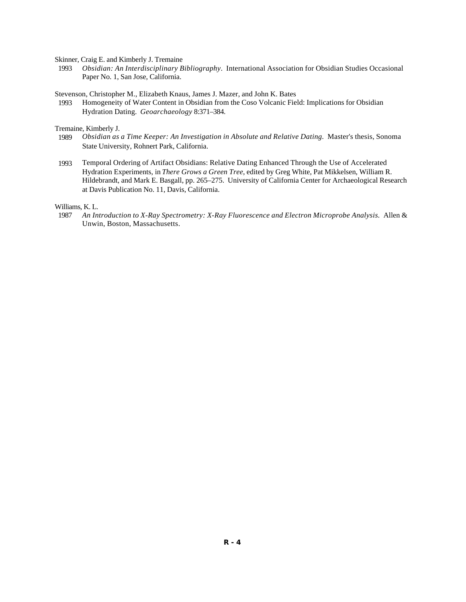Skinner, Craig E. and Kimberly J. Tremaine

 1993 *Obsidian: An Interdisciplinary Bibliography*. International Association for Obsidian Studies Occasional Paper No. 1, San Jose, California.

Stevenson, Christopher M., Elizabeth Knaus, James J. Mazer, and John K. Bates

 1993 Homogeneity of Water Content in Obsidian from the Coso Volcanic Field: Implications for Obsidian Hydration Dating. *Geoarchaeology* 8:371–384.

Tremaine, Kimberly J.<br>1989 *Obsidian as* 

- 1989 *Obsidian as a Time Keeper: An Investigation in Absolute and Relative Dating.* Master's thesis, Sonoma State University, Rohnert Park, California.
- 1993 Temporal Ordering of Artifact Obsidians: Relative Dating Enhanced Through the Use of Accelerated Hydration Experiments, in *There Grows a Green Tree*, edited by Greg White, Pat Mikkelsen, William R. Hildebrandt, and Mark E. Basgall, pp. 265–275. University of California Center for Archaeological Research at Davis Publication No. 11, Davis, California.

Williams, K. L.

 1987 *An Introduction to X-Ray Spectrometry: X-Ray Fluorescence and Electron Microprobe Analysis.* Allen & Unwin, Boston, Massachusetts.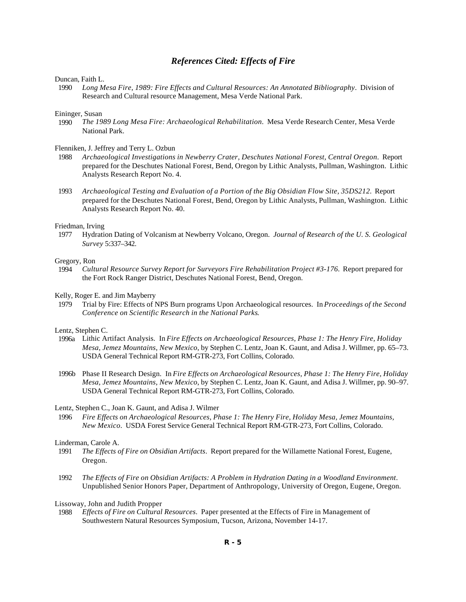## *References Cited: Effects of Fire*

#### Duncan, Faith L.

 1990 *Long Mesa Fire, 1989: Fire Effects and Cultural Resources: An Annotated Bibliography*. Division of Research and Cultural resource Management, Mesa Verde National Park.

#### Eininger, Susan

 1990 *The 1989 Long Mesa Fire: Archaeological Rehabilitation*. Mesa Verde Research Center, Mesa Verde National Park.

#### Flenniken, J. Jeffrey and Terry L. Ozbun

- 1988 *Archaeological Investigations in Newberry Crater, Deschutes National Forest, Central Oregon*. Report prepared for the Deschutes National Forest, Bend, Oregon by Lithic Analysts, Pullman, Washington. Lithic Analysts Research Report No. 4.
- 1993 *Archaeological Testing and Evaluation of a Portion of the Big Obsidian Flow Site, 35DS212.* Report prepared for the Deschutes National Forest, Bend, Oregon by Lithic Analysts, Pullman, Washington. Lithic Analysts Research Report No. 40.

#### Friedman, Irving

 1977 Hydration Dating of Volcanism at Newberry Volcano, Oregon. *Journal of Research of the U. S. Geological Survey* 5:337–342.

# Gregory, Ron<br>1994 Culti

 1994 *Cultural Resource Survey Report for Surveyors Fire Rehabilitation Project #3-176.* Report prepared for the Fort Rock Ranger District, Deschutes National Forest, Bend, Oregon.

#### Kelly, Roger E. and Jim Mayberry

 1979 Trial by Fire: Effects of NPS Burn programs Upon Archaeological resources. In *Proceedings of the Second Conference on Scientific Research in the National Parks*.

#### Lentz, Stephen C.

- 1996a Lithic Artifact Analysis. In *Fire Effects on Archaeological Resources, Phase 1: The Henry Fire, Holiday Mesa, Jemez Mountains, New Mexico*, by Stephen C. Lentz, Joan K. Gaunt, and Adisa J. Willmer, pp. 65–73. USDA General Technical Report RM-GTR-273, Fort Collins, Colorado.
- 1996b Phase II Research Design. In *Fire Effects on Archaeological Resources, Phase 1: The Henry Fire, Holiday Mesa, Jemez Mountains, New Mexico*, by Stephen C. Lentz, Joan K. Gaunt, and Adisa J. Willmer, pp. 90–97. USDA General Technical Report RM-GTR-273, Fort Collins, Colorado.

#### Lentz, Stephen C., Joan K. Gaunt, and Adisa J. Wilmer

 1996 *Fire Effects on Archaeological Resources, Phase 1: The Henry Fire, Holiday Mesa, Jemez Mountains, New Mexico*. USDA Forest Service General Technical Report RM-GTR-273, Fort Collins, Colorado.

#### Linderman, Carole A.

- 1991 *The Effects of Fire on Obsidian Artifacts*. Report prepared for the Willamette National Forest, Eugene, Oregon.
- 1992 *The Effects of Fire on Obsidian Artifacts: A Problem in Hydration Dating in a Woodland Environment*. Unpublished Senior Honors Paper, Department of Anthropology, University of Oregon, Eugene, Oregon.

#### Lissoway, John and Judith Propper

 1988 *Effects of Fire on Cultural Resources*. Paper presented at the Effects of Fire in Management of Southwestern Natural Resources Symposium, Tucson, Arizona, November 14-17.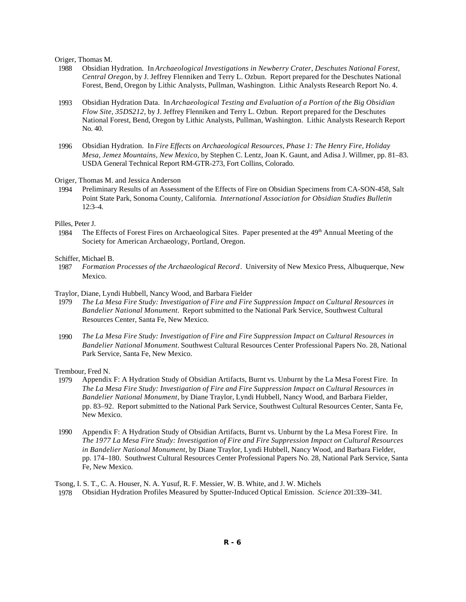Origer, Thomas M.

- 1988 Obsidian Hydration. In *Archaeological Investigations in Newberry Crater, Deschutes National Forest, Central Oregon,* by J. Jeffrey Flenniken and Terry L. Ozbun. Report prepared for the Deschutes National Forest, Bend, Oregon by Lithic Analysts, Pullman, Washington. Lithic Analysts Research Report No. 4.
- 1993 Obsidian Hydration Data. In *Archaeological Testing and Evaluation of a Portion of the Big Obsidian Flow Site, 35DS212,* by J. Jeffrey Flenniken and Terry L. Ozbun*.* Report prepared for the Deschutes National Forest, Bend, Oregon by Lithic Analysts, Pullman, Washington. Lithic Analysts Research Report No. 40.
- 1996 Obsidian Hydration. In *Fire Effects on Archaeological Resources, Phase 1: The Henry Fire, Holiday Mesa, Jemez Mountains, New Mexico*, by Stephen C. Lentz, Joan K. Gaunt, and Adisa J. Willmer, pp. 81–83. USDA General Technical Report RM-GTR-273, Fort Collins, Colorado.

Origer, Thomas M. and Jessica Anderson

 1994 Preliminary Results of an Assessment of the Effects of Fire on Obsidian Specimens from CA-SON-458, Salt Point State Park, Sonoma County, California. *International Association for Obsidian Studies Bulletin*  $12:3-4.$ 

Pilles, Peter J.

1984 The Effects of Forest Fires on Archaeological Sites. Paper presented at the 49<sup>th</sup> Annual Meeting of the Society for American Archaeology, Portland, Oregon.

# Schiffer, Michael B.<br>1987 Formation

- 1987 *Formation Processes of the Archaeological Record*. University of New Mexico Press, Albuquerque, New Mexico.
- Traylor, Diane, Lyndi Hubbell, Nancy Wood, and Barbara Fielder
- 1979 *The La Mesa Fire Study: Investigation of Fire and Fire Suppression Impact on Cultural Resources in Bandelier National Monument.* Report submitted to the National Park Service, Southwest Cultural Resources Center, Santa Fe, New Mexico.
- 1990 *The La Mesa Fire Study: Investigation of Fire and Fire Suppression Impact on Cultural Resources in Bandelier National Monument.* Southwest Cultural Resources Center Professional Papers No. 28, National Park Service, Santa Fe, New Mexico.

Trembour, Fred N.<br>1979 Appendix

- Appendix F: A Hydration Study of Obsidian Artifacts, Burnt vs. Unburnt by the La Mesa Forest Fire. In *The La Mesa Fire Study: Investigation of Fire and Fire Suppression Impact on Cultural Resources in Bandelier National Monument*, by Diane Traylor, Lyndi Hubbell, Nancy Wood, and Barbara Fielder, pp. 83–92. Report submitted to the National Park Service, Southwest Cultural Resources Center, Santa Fe, New Mexico.
- 1990 Appendix F: A Hydration Study of Obsidian Artifacts, Burnt vs. Unburnt by the La Mesa Forest Fire. In *The 1977 La Mesa Fire Study: Investigation of Fire and Fire Suppression Impact on Cultural Resources in Bandelier National Monument*, by Diane Traylor, Lyndi Hubbell, Nancy Wood, and Barbara Fielder, pp. 174–180. Southwest Cultural Resources Center Professional Papers No. 28, National Park Service, Santa Fe, New Mexico.

Tsong, I. S. T., C. A. Houser, N. A. Yusuf, R. F. Messier, W. B. White, and J. W. Michels 1978 Obsidian Hydration Profiles Measured by Sputter-Induced Optical Emission. *Science* 201:339–341.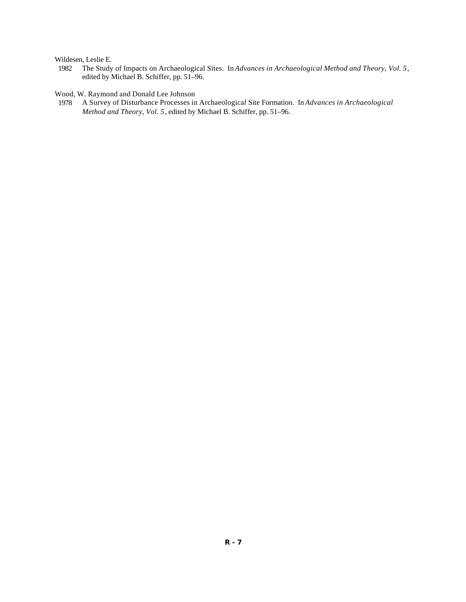Wildesen, Leslie E.<br>1982 The Study

The Study of Impacts on Archaeological Sites. In *Advances in Archaeological Method and Theory, Vol.* 5, edited by Michael B. Schiffer, pp. 51–96.

Wood, W. Raymond and Donald Lee Johnson

 1978 A Survey of Disturbance Processes in Archaeologica*l* Site Formation. In *Advances in Archaeological Method and Theory, Vol. 5*, edited by Michael B. Schiffer, pp. 51–96.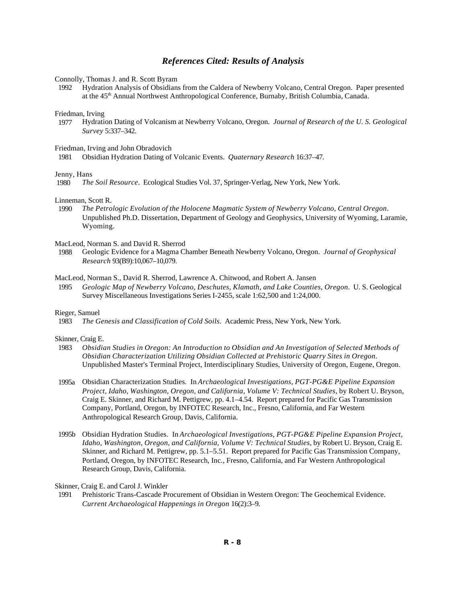## *References Cited: Results of Analysis*

Connolly, Thomas J. and R. Scott Byram

 1992 Hydration Analysis of Obsidians from the Caldera of Newberry Volcano, Central Oregon. Paper presented at the 45<sup>th</sup> Annual Northwest Anthropological Conference, Burnaby, British Columbia, Canada.

Friedman, Irving

 1977 Hydration Dating of Volcanism at Newberry Volcano, Oregon. *Journal of Research of the U. S. Geological Survey* 5:337–342.

#### Friedman, Irving and John Obradovich

1981 Obsidian Hydration Dating of Volcanic Events. *Quaternary Research* 16:37–47.

#### Jenny, Hans

1980 *The Soil Resource*. Ecological Studies Vol. 37, Springer-Verlag, New York, New York.

#### Linneman, Scott R.

 1990 *The Petrologic Evolution of the Holocene Magmatic System of Newberry Volcano, Central Oregon*. Unpublished Ph.D. Dissertation, Department of Geology and Geophysics, University of Wyoming, Laramie, Wyoming.

#### MacLeod, Norman S. and David R. Sherrod

 1988 Geologic Evidence for a Magma Chamber Beneath Newberry Volcano, Oregon. *Journal of Geophysical Research* 93(B9):10,067–10,079.

#### MacLeod, Norman S., David R. Sherrod, Lawrence A. Chitwood, and Robert A. Jansen

 1995 *Geologic Map of Newberry Volcano, Deschutes, Klamath, and Lake Counties, Oregon*. U. S. Geological Survey Miscellaneous Investigations Series I-2455, scale 1:62,500 and 1:24,000.

# Rieger, Samuel<br>1983 The G

1983 *The Genesis and Classification of Cold Soils*. Academic Press, New York, New York.

#### Skinner, Craig E.

- 1983 *Obsidian Studies in Oregon: An Introduction to Obsidian and An Investigation of Selected Methods of Obsidian Characterization Utilizing Obsidian Collected at Prehistoric Quarry Sites in Oregon*. Unpublished Master's Terminal Project, Interdisciplinary Studies, University of Oregon, Eugene, Oregon.
- 1995a Obsidian Characterization Studies. In *Archaeological Investigations, PGT-PG&E Pipeline Expansion Project, Idaho, Washington, Oregon, and California, Volume V: Technical Studies*, by Robert U. Bryson, Craig E. Skinner, and Richard M. Pettigrew, pp. 4.1–4.54. Report prepared for Pacific Gas Transmission Company, Portland, Oregon, by INFOTEC Research, Inc., Fresno, California, and Far Western Anthropological Research Group, Davis, California.
- 1995b Obsidian Hydration Studies. In *Archaeological Investigations, PGT-PG&E Pipeline Expansion Project, Idaho, Washington, Oregon, and California, Volume V: Technical Studies*, by Robert U. Bryson, Craig E. Skinner, and Richard M. Pettigrew, pp. 5.1–5.51. Report prepared for Pacific Gas Transmission Company, Portland, Oregon, by INFOTEC Research, Inc., Fresno, California, and Far Western Anthropological Research Group, Davis, California.

#### Skinner, Craig E. and Carol J. Winkler

 1991 Prehistoric Trans-Cascade Procurement of Obsidian in Western Oregon: The Geochemical Evidence. *Current Archaeological Happenings in Oregon* 16(2):3–9.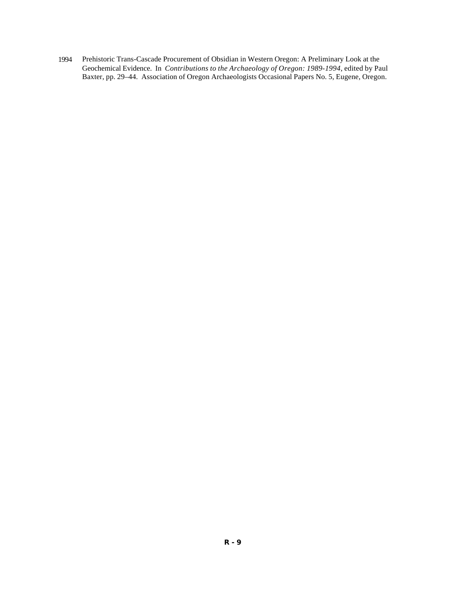1994 Prehistoric Trans-Cascade Procurement of Obsidian in Western Oregon: A Preliminary Look at the Geochemical Evidence. In *Contributions to the Archaeology of Oregon: 1989-1994*, edited by Paul Baxter, pp. 29–44. Association of Oregon Archaeologists Occasional Papers No. 5, Eugene, Oregon.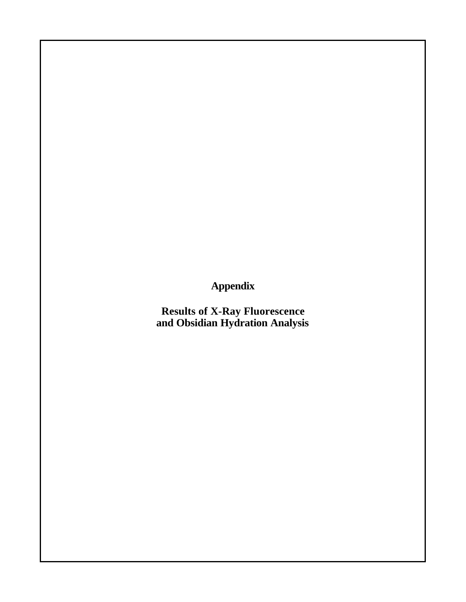**Appendix**

**Results of X-Ray Fluorescence and Obsidian Hydration Analysis**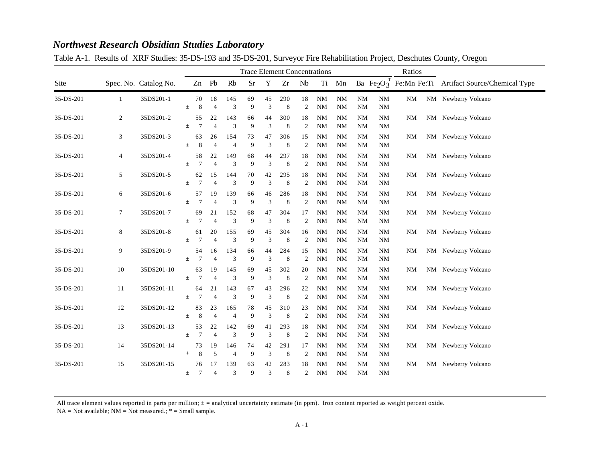|           |              |                       |       |                      |                      |                       |          |                                   | <b>Trace Element Concentrations</b> |                      | Ratios                 |                        |                        |                        |           |                                                                                          |
|-----------|--------------|-----------------------|-------|----------------------|----------------------|-----------------------|----------|-----------------------------------|-------------------------------------|----------------------|------------------------|------------------------|------------------------|------------------------|-----------|------------------------------------------------------------------------------------------|
| Site      |              | Spec. No. Catalog No. |       |                      | Zn Pb                | Rb                    | $\rm Sr$ | Y                                 | Zr                                  | Nb                   | Ti                     | Mn                     |                        |                        |           | Ba Fe <sub>2</sub> O <sub>3</sub> <sup>T</sup> Fe:Mn Fe:Ti Artifact Source/Chemical Type |
| 35-DS-201 | $\mathbf{1}$ | 35DS201-1             | $\pm$ | 70<br>8              | 18<br>$\overline{4}$ | 145<br>3              | 69<br>9  | 45<br>3                           | 290<br>8                            | 18<br>2              | <b>NM</b><br><b>NM</b> | <b>NM</b><br><b>NM</b> | <b>NM</b><br><b>NM</b> | <b>NM</b><br><b>NM</b> | NM        | NM Newberry Volcano                                                                      |
| 35-DS-201 | 2            | 35DS201-2             | 士     | 55<br>$\overline{7}$ | 22<br>$\overline{A}$ | 143<br>3              | 66<br>9  | 44<br>3                           | 300<br>8                            | 18<br>2              | <b>NM</b><br><b>NM</b> | <b>NM</b><br><b>NM</b> | <b>NM</b><br><b>NM</b> | <b>NM</b><br><b>NM</b> | NΜ        | NM Newberry Volcano                                                                      |
| 35-DS-201 | 3            | 35DS201-3             | 士     | 63<br>8              | 26<br>$\overline{4}$ | 154<br>$\overline{4}$ | 73<br>9  | 47<br>3                           | 306<br>8                            | 15<br>2              | <b>NM</b><br><b>NM</b> | <b>NM</b><br><b>NM</b> | <b>NM</b><br><b>NM</b> | <b>NM</b><br><b>NM</b> | NΜ        | NM Newberry Volcano                                                                      |
| 35-DS-201 | 4            | 35DS201-4             | $\pm$ | 58<br>7              | 22<br>$\overline{4}$ | 149<br>3              | 68<br>9  | 44<br>3                           | 297<br>8                            | 18<br>$\overline{2}$ | <b>NM</b><br><b>NM</b> | <b>NM</b><br><b>NM</b> | <b>NM</b><br><b>NM</b> | <b>NM</b><br><b>NM</b> | <b>NM</b> | NM Newberry Volcano                                                                      |
| 35-DS-201 | 5            | 35DS201-5             | 士     | 62<br>$\overline{7}$ | 15<br>$\overline{4}$ | 144<br>3              | 70<br>9  | 42<br>3                           | 295<br>8                            | 18<br>2              | <b>NM</b><br><b>NM</b> | <b>NM</b><br><b>NM</b> | <b>NM</b><br><b>NM</b> | <b>NM</b><br><b>NM</b> | <b>NM</b> | NM Newberry Volcano                                                                      |
| 35-DS-201 | 6            | 35DS201-6             | 土     | 57<br>7              | 19<br>$\overline{4}$ | 139<br>3              | 66<br>9  | 46<br>3                           | 286<br>8                            | 18<br>2              | <b>NM</b><br><b>NM</b> | <b>NM</b><br><b>NM</b> | <b>NM</b><br><b>NM</b> | <b>NM</b><br><b>NM</b> | NΜ        | NM Newberry Volcano                                                                      |
| 35-DS-201 | 7            | 35DS201-7             | 士     | 69<br>7              | 21<br>$\overline{4}$ | 152<br>3              | 68<br>9  | 47<br>3                           | 304<br>8                            | 17<br>$\overline{2}$ | <b>NM</b><br><b>NM</b> | <b>NM</b><br><b>NM</b> | <b>NM</b><br><b>NM</b> | <b>NM</b><br>NM        | NM        | NM Newberry Volcano                                                                      |
| 35-DS-201 | 8            | 35DS201-8             | $\pm$ | 61<br>7              | 20<br>$\overline{4}$ | 155<br>3              | 69<br>9  | 45<br>$\ensuremath{\mathfrak{Z}}$ | 304<br>8                            | 16<br>2              | <b>NM</b><br><b>NM</b> | <b>NM</b><br><b>NM</b> | <b>NM</b><br><b>NM</b> | <b>NM</b><br><b>NM</b> | <b>NM</b> | NM Newberry Volcano                                                                      |
| 35-DS-201 | 9            | 35DS201-9             | $\pm$ | 54<br>7              | 16<br>$\overline{4}$ | 134<br>3              | 66<br>9  | 44<br>3                           | 284<br>8                            | 15<br>2              | <b>NM</b><br><b>NM</b> | <b>NM</b><br><b>NM</b> | <b>NM</b><br><b>NM</b> | <b>NM</b><br><b>NM</b> | NΜ        | NM Newberry Volcano                                                                      |
| 35-DS-201 | 10           | 35DS201-10            | 士     | 63<br>7              | 19<br>$\overline{4}$ | 145<br>3              | 69<br>9  | 45<br>3                           | 302<br>8                            | 20<br>$\overline{2}$ | <b>NM</b><br><b>NM</b> | <b>NM</b><br><b>NM</b> | <b>NM</b><br><b>NM</b> | <b>NM</b><br><b>NM</b> | <b>NM</b> | NM Newberry Volcano                                                                      |
| 35-DS-201 | 11           | 35DS201-11            | $\pm$ | 64<br>7              | 21<br>$\overline{4}$ | 143<br>3              | 67<br>9  | 43<br>3                           | 296<br>8                            | 22<br>$\overline{c}$ | <b>NM</b><br><b>NM</b> | <b>NM</b><br><b>NM</b> | <b>NM</b><br><b>NM</b> | <b>NM</b><br><b>NM</b> | <b>NM</b> | NM Newberry Volcano                                                                      |
| 35-DS-201 | 12           | 35DS201-12            | 士     | 83<br>8              | 23<br>$\overline{4}$ | 165<br>$\overline{4}$ | 78<br>9  | 45<br>3                           | 310<br>8                            | 23<br>$\overline{2}$ | <b>NM</b><br><b>NM</b> | <b>NM</b><br><b>NM</b> | <b>NM</b><br><b>NM</b> | <b>NM</b><br><b>NM</b> | NΜ        | NM Newberry Volcano                                                                      |
| 35-DS-201 | 13           | 35DS201-13            | $\pm$ | 53<br>$\overline{7}$ | 22<br>$\overline{4}$ | 142<br>3              | 69<br>9  | 41<br>3                           | 293<br>8                            | 18<br>$\overline{2}$ | NM<br>NM               | <b>NM</b><br><b>NM</b> | <b>NM</b><br><b>NM</b> | <b>NM</b><br><b>NM</b> | NΜ        | NM Newberry Volcano                                                                      |
| 35-DS-201 | 14           | 35DS201-14            | 士     | 73<br>8              | 19<br>5              | 146<br>$\overline{4}$ | 74<br>9  | 42<br>3                           | 291<br>8                            | 17<br>$\overline{2}$ | <b>NM</b><br><b>NM</b> | <b>NM</b><br><b>NM</b> | <b>NM</b><br><b>NM</b> | <b>NM</b><br>NM        | <b>NM</b> | NM Newberry Volcano                                                                      |
| 35-DS-201 | 15           | 35DS201-15            | $\pm$ | 76<br>7              | 17<br>$\overline{4}$ | 139<br>3              | 63<br>9  | 42<br>3                           | 283<br>8                            | 18<br>2              | <b>NM</b><br><b>NM</b> | <b>NM</b><br><b>NM</b> | <b>NM</b><br><b>NM</b> | <b>NM</b><br><b>NM</b> | NΜ        | NM Newberry Volcano                                                                      |

Table A-1. Results of XRF Studies: 35-DS-193 and 35-DS-201, Surveyor Fire Rehabilitation Project, Deschutes County, Oregon

All trace element values reported in parts per million;  $\pm$  = analytical uncertainty estimate (in ppm). Iron content reported as weight percent oxide.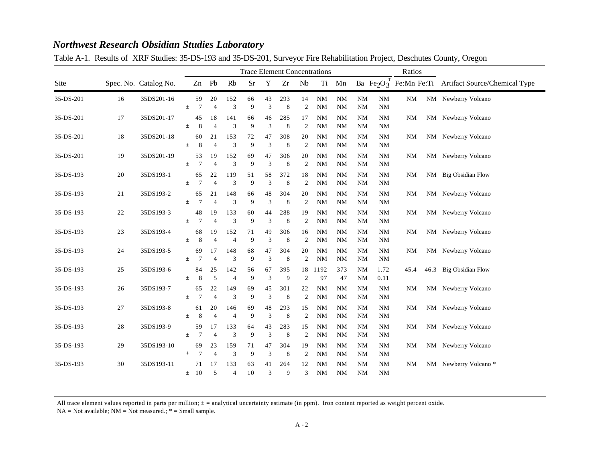|           |    |                       |          |                      |                      |                       |          |         | <b>Trace Element Concentrations</b> |                      | Ratios                 |                        |                        |                        |           |                                                                                          |
|-----------|----|-----------------------|----------|----------------------|----------------------|-----------------------|----------|---------|-------------------------------------|----------------------|------------------------|------------------------|------------------------|------------------------|-----------|------------------------------------------------------------------------------------------|
| Site      |    | Spec. No. Catalog No. |          |                      | Zn Pb                | Rb                    | $\rm Sr$ | Y       | Zr                                  | Nb                   | Ti                     | Mn                     |                        |                        |           | Ba Fe <sub>2</sub> O <sub>3</sub> <sup>T</sup> Fe:Mn Fe:Ti Artifact Source/Chemical Type |
| 35-DS-201 | 16 | 35DS201-16            | $\pm$    | 59<br>7              | 20<br>$\overline{4}$ | 152<br>3              | 66<br>9  | 43<br>3 | 293<br>8                            | 14<br>$\overline{2}$ | <b>NM</b><br><b>NM</b> | <b>NM</b><br><b>NM</b> | <b>NM</b><br><b>NM</b> | <b>NM</b><br><b>NM</b> | NM        | NM Newberry Volcano                                                                      |
| 35-DS-201 | 17 | 35DS201-17            | 土        | 45<br>8              | 18<br>$\overline{4}$ | 141<br>3              | 66<br>9  | 46<br>3 | 285<br>8                            | 17<br>2              | <b>NM</b><br>NM        | <b>NM</b><br><b>NM</b> | <b>NM</b><br><b>NM</b> | <b>NM</b><br>NM        | <b>NM</b> | NM Newberry Volcano                                                                      |
| 35-DS-201 | 18 | 35DS201-18            | $\pm$    | 60<br>8              | 21<br>$\overline{4}$ | 153<br>3              | 72<br>9  | 47<br>3 | 308<br>8                            | 20<br>2              | <b>NM</b><br><b>NM</b> | <b>NM</b><br><b>NM</b> | <b>NM</b><br><b>NM</b> | <b>NM</b><br><b>NM</b> | <b>NM</b> | NM Newberry Volcano                                                                      |
| 35-DS-201 | 19 | 35DS201-19            | 士        | 53<br>$\overline{7}$ | 19<br>$\overline{4}$ | 152<br>3              | 69<br>9  | 47<br>3 | 306<br>8                            | 20<br>$\overline{2}$ | <b>NM</b><br>NM        | <b>NM</b><br><b>NM</b> | <b>NM</b><br><b>NM</b> | <b>NM</b><br><b>NM</b> | <b>NM</b> | NM Newberry Volcano                                                                      |
| 35-DS-193 | 20 | 35DS193-1             | 士        | 65<br>7              | 22<br>$\overline{4}$ | 119<br>3              | 51<br>9  | 58<br>3 | 372<br>8                            | 18<br>2              | <b>NM</b><br><b>NM</b> | <b>NM</b><br><b>NM</b> | <b>NM</b><br><b>NM</b> | $\rm NM$<br><b>NM</b>  | <b>NM</b> | NM Big Obsidian Flow                                                                     |
| 35-DS-193 | 21 | 35DS193-2             | Ŧ.       | 65<br>7              | 21<br>$\overline{4}$ | 148<br>3              | 66<br>9  | 48<br>3 | 304<br>8                            | 20<br>2              | <b>NM</b><br><b>NM</b> | <b>NM</b><br><b>NM</b> | <b>NM</b><br><b>NM</b> | <b>NM</b><br><b>NM</b> | NΜ        | NM Newberry Volcano                                                                      |
| 35-DS-193 | 22 | 35DS193-3             | 土        | 48<br>7              | 19<br>$\overline{4}$ | 133<br>3              | 60<br>9  | 44<br>3 | 288<br>8                            | 19<br>$\overline{2}$ | <b>NM</b><br><b>NM</b> | <b>NM</b><br><b>NM</b> | <b>NM</b><br><b>NM</b> | NM<br><b>NM</b>        | <b>NM</b> | NM Newberry Volcano                                                                      |
| 35-DS-193 | 23 | 35DS193-4             | $_{\pm}$ | 68<br>8              | 19<br>$\overline{4}$ | 152<br>$\overline{4}$ | 71<br>9  | 49<br>3 | 306<br>8                            | 16<br>2              | <b>NM</b><br><b>NM</b> | <b>NM</b><br><b>NM</b> | <b>NM</b><br><b>NM</b> | <b>NM</b><br><b>NM</b> | <b>NM</b> | NM Newberry Volcano                                                                      |
| 35-DS-193 | 24 | 35DS193-5             | 士        | 69<br>7              | 17<br>$\overline{4}$ | 148<br>3              | 68<br>9  | 47<br>3 | 304<br>8                            | 20<br>$\overline{2}$ | NM<br><b>NM</b>        | <b>NM</b><br><b>NM</b> | <b>NM</b><br><b>NM</b> | $\rm NM$<br><b>NM</b>  | NΜ        | NM Newberry Volcano                                                                      |
| 35-DS-193 | 25 | 35DS193-6             | $\pm$    | 84<br>8              | 25<br>5              | 142<br>$\overline{4}$ | 56<br>9  | 67<br>3 | 395<br>9                            | 18<br>2              | 1192<br>97             | 373<br>47              | <b>NM</b><br><b>NM</b> | 1.72<br>0.11           | 45.4      | 46.3 Big Obsidian Flow                                                                   |
| 35-DS-193 | 26 | 35DS193-7             | $_{\pm}$ | 65<br>7              | 22<br>$\overline{4}$ | 149<br>3              | 69<br>9  | 45<br>3 | 301<br>8                            | 22<br>$\overline{2}$ | <b>NM</b><br>NM        | <b>NM</b><br><b>NM</b> | <b>NM</b><br><b>NM</b> | <b>NM</b><br><b>NM</b> | <b>NM</b> | NM Newberry Volcano                                                                      |
| 35-DS-193 | 27 | 35DS193-8             | $\pm$    | 61<br>8              | 20<br>$\overline{4}$ | 146<br>$\overline{4}$ | 69<br>9  | 48<br>3 | 293<br>8                            | 15<br>$\overline{2}$ | <b>NM</b><br>NM        | <b>NM</b><br><b>NM</b> | <b>NM</b><br><b>NM</b> | NM<br><b>NM</b>        | NΜ        | NM Newberry Volcano                                                                      |
| 35-DS-193 | 28 | 35DS193-9             | $\pm$    | 59<br>$\overline{7}$ | 17<br>$\overline{4}$ | 133<br>3              | 64<br>9  | 43<br>3 | 283<br>8                            | 15<br>$\overline{2}$ | <b>NM</b><br>NM        | <b>NM</b><br><b>NM</b> | <b>NM</b><br><b>NM</b> | <b>NM</b><br><b>NM</b> | NΜ        | NM Newberry Volcano                                                                      |
| 35-DS-193 | 29 | 35DS193-10            | 士        | 69<br>$\overline{7}$ | 23<br>$\overline{4}$ | 159<br>3              | 71<br>9  | 47<br>3 | 304<br>8                            | 19<br>$\overline{c}$ | <b>NM</b><br><b>NM</b> | <b>NM</b><br><b>NM</b> | <b>NM</b><br><b>NM</b> | <b>NM</b><br>NM        | NM        | NM Newberry Volcano                                                                      |
| 35-DS-193 | 30 | 35DS193-11            | $\pm$    | 71<br>10             | 17<br>5              | 133<br>$\overline{4}$ | 63<br>10 | 41<br>3 | 264<br>9                            | 12<br>3              | <b>NM</b><br><b>NM</b> | <b>NM</b><br><b>NM</b> | <b>NM</b><br><b>NM</b> | <b>NM</b><br><b>NM</b> | NΜ        | NM Newberry Volcano*                                                                     |

Table A-1. Results of XRF Studies: 35-DS-193 and 35-DS-201, Surveyor Fire Rehabilitation Project, Deschutes County, Oregon

All trace element values reported in parts per million;  $\pm$  = analytical uncertainty estimate (in ppm). Iron content reported as weight percent oxide.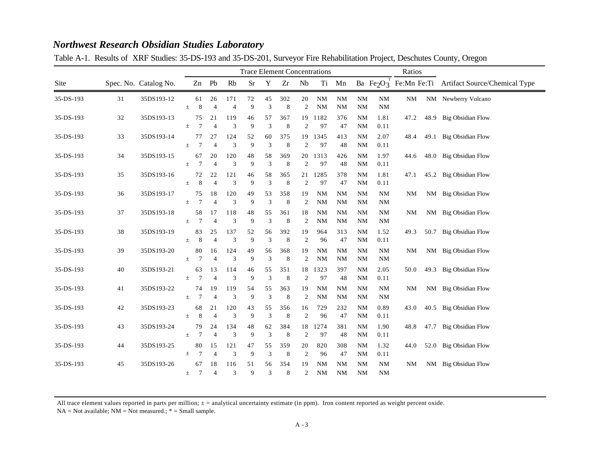|           |    |                       |          | <b>Trace Element Concentrations</b> |                      |                       |          |         |          |                      |                        |                        |                        |                        | Ratios    |                                                                                          |  |  |
|-----------|----|-----------------------|----------|-------------------------------------|----------------------|-----------------------|----------|---------|----------|----------------------|------------------------|------------------------|------------------------|------------------------|-----------|------------------------------------------------------------------------------------------|--|--|
| Site      |    | Spec. No. Catalog No. |          |                                     | Zn Pb                | Rb                    | $\rm Sr$ | Y       | Zr       | Nb                   |                        | Ti Mn                  |                        |                        |           | Ba Fe <sub>2</sub> O <sub>3</sub> <sup>T</sup> Fe:Mn Fe:Ti Artifact Source/Chemical Type |  |  |
| 35-DS-193 | 31 | 35DS193-12            | $\pm$    | 61<br>8                             | 26<br>$\overline{4}$ | 171<br>$\overline{4}$ | 72<br>9  | 45<br>3 | 302<br>8 | 20<br>$\overline{2}$ | <b>NM</b><br><b>NM</b> | $\rm NM$<br><b>NM</b>  | <b>NM</b><br><b>NM</b> | NM<br><b>NM</b>        | NM        | NM Newberry Volcano                                                                      |  |  |
| 35-DS-193 | 32 | 35DS193-13            | 土        | 75<br>$\overline{7}$                | 21<br>$\overline{4}$ | 119<br>3              | 46<br>9  | 57<br>3 | 367<br>8 | 2                    | 19 1182<br>97          | 376<br>47              | <b>NM</b><br><b>NM</b> | 1.81<br>0.11           | 47.2      | 48.9 Big Obsidian Flow                                                                   |  |  |
| 35-DS-193 | 33 | 35DS193-14            | $\pm$    | 77<br>7                             | 27<br>$\overline{4}$ | 124<br>3              | 52<br>9  | 60<br>3 | 375<br>8 | 19<br>2              | 1345<br>97             | 413<br>48              | <b>NM</b><br><b>NM</b> | 2.07<br>0.11           | 48.4      | 49.1 Big Obsidian Flow                                                                   |  |  |
| 35-DS-193 | 34 | 35DS193-15            | $\pm$    | 67<br>7                             | 20<br>$\overline{4}$ | 120<br>3              | 48<br>9  | 58<br>3 | 369<br>8 | 2                    | 20 1313<br>97          | 426<br>48              | <b>NM</b><br><b>NM</b> | 1.97<br>0.11           | 44.6      | 48.0 Big Obsidian Flow                                                                   |  |  |
| 35-DS-193 | 35 | 35DS193-16            | 士        | 72<br>8                             | 22<br>$\overline{4}$ | 121<br>3              | 46<br>9  | 58<br>3 | 365<br>8 | 21<br>$\overline{2}$ | 1285<br>97             | 378<br>47              | <b>NM</b><br><b>NM</b> | 1.81<br>0.11           | 47.1      | 45.2 Big Obsidian Flow                                                                   |  |  |
| 35-DS-193 | 36 | 35DS193-17            | $_{\pm}$ | 75<br>$\overline{7}$                | 18<br>$\overline{4}$ | 120<br>3              | 49<br>9  | 53<br>3 | 358<br>8 | 19<br>2              | NM<br><b>NM</b>        | <b>NM</b><br><b>NM</b> | <b>NM</b><br><b>NM</b> | <b>NM</b><br><b>NM</b> | NΜ        | NM Big Obsidian Flow                                                                     |  |  |
| 35-DS-193 | 37 | 35DS193-18            | $\pm$    | 58<br>7                             | 17<br>$\overline{4}$ | 118<br>3              | 48<br>9  | 55<br>3 | 361<br>8 | 18<br>$\overline{2}$ | <b>NM</b><br><b>NM</b> | <b>NM</b><br><b>NM</b> | <b>NM</b><br><b>NM</b> | <b>NM</b><br><b>NM</b> | <b>NM</b> | NM Big Obsidian Flow                                                                     |  |  |
| 35-DS-193 | 38 | 35DS193-19            | $\pm$    | 83<br>8                             | 25<br>$\overline{4}$ | 137<br>3              | 52<br>9  | 56<br>3 | 392<br>8 | 19<br>$\overline{2}$ | 964<br>96              | 313<br>47              | <b>NM</b><br><b>NM</b> | 1.52<br>0.11           | 49.3      | 50.7 Big Obsidian Flow                                                                   |  |  |
| 35-DS-193 | 39 | 35DS193-20            | 土        | 80<br>$\overline{7}$                | 16<br>$\overline{4}$ | 124<br>3              | 49<br>9  | 56<br>3 | 368<br>8 | 19<br>$\overline{2}$ | NM<br><b>NM</b>        | <b>NM</b><br><b>NM</b> | <b>NM</b><br><b>NM</b> | <b>NM</b><br><b>NM</b> | <b>NM</b> | NM Big Obsidian Flow                                                                     |  |  |
| 35-DS-193 | 40 | 35DS193-21            | $\pm$    | 63<br>7                             | 13<br>$\overline{4}$ | 114<br>3              | 46<br>9  | 55<br>3 | 351<br>8 | 18<br>2              | 1323<br>97             | 397<br>48              | <b>NM</b><br><b>NM</b> | 2.05<br>0.11           | 50.0      | 49.3 Big Obsidian Flow                                                                   |  |  |
| 35-DS-193 | 41 | 35DS193-22            | $_{\pm}$ | 74<br>7                             | 19<br>$\overline{4}$ | 119<br>3              | 54<br>9  | 55<br>3 | 363<br>8 | 19<br>$\overline{2}$ | <b>NM</b><br>NM        | <b>NM</b><br><b>NM</b> | <b>NM</b><br><b>NM</b> | <b>NM</b><br><b>NM</b> | <b>NM</b> | NM Big Obsidian Flow                                                                     |  |  |
| 35-DS-193 | 42 | 35DS193-23            | 士        | 68<br>$\,$ 8 $\,$                   | 21<br>$\overline{4}$ | 120<br>3              | 43<br>9  | 55<br>3 | 356<br>8 | 16<br>$\overline{2}$ | 729<br>96              | 232<br>47              | <b>NM</b><br><b>NM</b> | 0.89<br>0.11           | 43.0      | 40.5 Big Obsidian Flow                                                                   |  |  |
| 35-DS-193 | 43 | 35DS193-24            | $\pm$    | 79<br>$\overline{7}$                | 24<br>$\overline{4}$ | 134<br>3              | 48<br>9  | 62<br>3 | 384<br>8 | 18<br>$\overline{2}$ | 1274<br>97             | 381<br>48              | <b>NM</b><br><b>NM</b> | 1.90<br>0.11           | 48.8      | 47.7 Big Obsidian Flow                                                                   |  |  |
| 35-DS-193 | 44 | 35DS193-25            | 士        | 80<br>7                             | 15<br>$\overline{4}$ | 121<br>3              | 47<br>9  | 55<br>3 | 359<br>8 | 20<br>$\overline{c}$ | 820<br>96              | 308<br>47              | <b>NM</b><br><b>NM</b> | 1.32<br>0.11           | 44.0      | 52.0 Big Obsidian Flow                                                                   |  |  |
| 35-DS-193 | 45 | 35DS193-26            | $\pm$    | 67<br>7                             | 18<br>$\overline{4}$ | 116<br>3              | 51<br>9  | 56<br>3 | 354<br>8 | 19<br>2              | <b>NM</b><br><b>NM</b> | <b>NM</b><br><b>NM</b> | <b>NM</b><br><b>NM</b> | <b>NM</b><br><b>NM</b> | NΜ        | NM Big Obsidian Flow                                                                     |  |  |

Table A-1. Results of XRF Studies: 35-DS-193 and 35-DS-201, Surveyor Fire Rehabilitation Project, Deschutes County, Oregon

All trace element values reported in parts per million;  $\pm$  = analytical uncertainty estimate (in ppm). Iron content reported as weight percent oxide.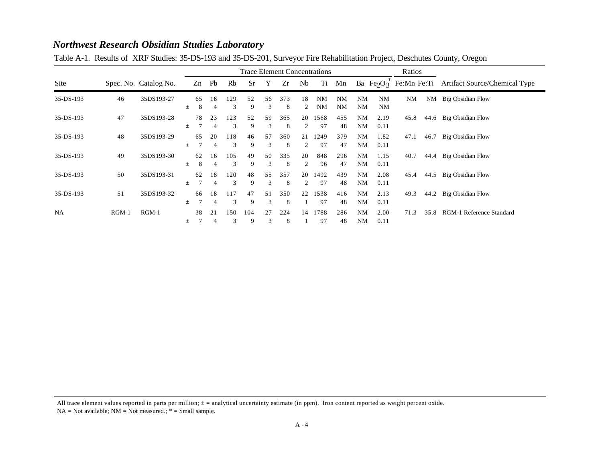|             |         |                       |       | <b>Trace Element Concentrations</b> |                      |          |           |         |          |         |                        |                        | Ratios                 |                        |      |      |                                                                                          |
|-------------|---------|-----------------------|-------|-------------------------------------|----------------------|----------|-----------|---------|----------|---------|------------------------|------------------------|------------------------|------------------------|------|------|------------------------------------------------------------------------------------------|
| Site        |         | Spec. No. Catalog No. |       | Zn                                  | Pb                   | Rb       | <b>Sr</b> | Y       | Zr       | Nb      | Ti                     | Mn                     |                        |                        |      |      | Ba Fe <sub>2</sub> O <sub>3</sub> <sup>1</sup> Fe:Mn Fe:Ti Artifact Source/Chemical Type |
| 35-DS-193   | 46      | 35DS193-27            | $\pm$ | 65<br>8                             | 18<br>4              | 129<br>3 | 52<br>9   | 56<br>3 | 373<br>8 | 18<br>2 | <b>NM</b><br><b>NM</b> | <b>NM</b><br><b>NM</b> | <b>NM</b><br><b>NM</b> | <b>NM</b><br><b>NM</b> | NM   |      | NM Big Obsidian Flow                                                                     |
| 35-DS-193   | 47      | 35DS193-28            | 土     | 78                                  | 23<br>$\overline{4}$ | 123<br>3 | 52<br>9   | 59<br>3 | 365<br>8 | 20<br>2 | 1568<br>97             | 455<br>48              | <b>NM</b><br><b>NM</b> | 2.19<br>0.11           | 45.8 | 44.6 | Big Obsidian Flow                                                                        |
| $35-DS-193$ | 48      | 35DS193-29            | 土     | 65                                  | 20<br>$\overline{4}$ | 118<br>3 | 46<br>9   | 57<br>3 | 360<br>8 | 21<br>2 | 1249<br>97             | 379<br>47              | <b>NM</b><br><b>NM</b> | 1.82<br>0.11           | 47.1 | 46.7 | Big Obsidian Flow                                                                        |
| 35-DS-193   | 49      | 35DS193-30            | 土     | 62<br>8                             | 16<br>4              | 105<br>3 | 49<br>9   | 50<br>3 | 335<br>8 | 20<br>2 | 848<br>96              | 296<br>47              | <b>NM</b><br><b>NM</b> | 1.15<br>0.11           | 40.7 | 44.4 | Big Obsidian Flow                                                                        |
| $35-DS-193$ | 50      | 35DS193-31            | 士     | 62                                  | 18<br>$\overline{4}$ | 120<br>3 | 48<br>9   | 55<br>3 | 357<br>8 | 20<br>2 | 1492<br>97             | 439<br>48              | <b>NM</b><br><b>NM</b> | 2.08<br>0.11           | 45.4 | 44.5 | Big Obsidian Flow                                                                        |
| $35-DS-193$ | 51      | 35DS193-32            | 土     | 66                                  | 18<br>$\overline{4}$ | 117<br>3 | 47<br>9   | 51<br>3 | 350<br>8 | 22      | 1538<br>97             | 416<br>48              | <b>NM</b><br><b>NM</b> | 2.13<br>0.11           | 49.3 | 44.2 | Big Obsidian Flow                                                                        |
| <b>NA</b>   | $RGM-1$ | $RGM-1$               | 土     | 38                                  | 21<br>4              | 150<br>3 | 104<br>9  | 27<br>3 | 224<br>8 | 14      | 1788<br>97             | 286<br>48              | <b>NM</b><br><b>NM</b> | 2.00<br>0.11           | 71.3 | 35.8 | RGM-1 Reference Standard                                                                 |

Table A-1. Results of XRF Studies: 35-DS-193 and 35-DS-201, Surveyor Fire Rehabilitation Project, Deschutes County, Oregon

All trace element values reported in parts per million;  $\pm$  = analytical uncertainty estimate (in ppm). Iron content reported as weight percent oxide.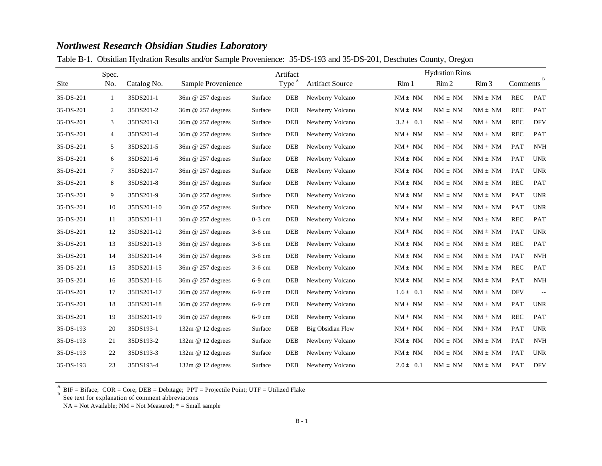|  |  | Table B-1. Obsidian Hydration Results and/or Sample Provenience: 35-DS-193 and 35-DS-201, Deschutes County, Oregon |  |  |
|--|--|--------------------------------------------------------------------------------------------------------------------|--|--|
|  |  |                                                                                                                    |  |  |

|           | Spec.          |             |                    |          | Artifact          |                          | <b>Hydration Rims</b> |                   |                  |                      |               |
|-----------|----------------|-------------|--------------------|----------|-------------------|--------------------------|-----------------------|-------------------|------------------|----------------------|---------------|
| Site      | No.            | Catalog No. | Sample Provenience |          | Type <sup>A</sup> | <b>Artifact Source</b>   | Rim 1                 | Rim 2             | Rim <sub>3</sub> | Comments             |               |
| 35-DS-201 | -1             | 35DS201-1   | 36m @ 257 degrees  | Surface  | <b>DEB</b>        | Newberry Volcano         | $NM \pm NM$           | $NM \pm NM$       | $NM \pm NM$      | <b>REC</b>           | PAT           |
| 35-DS-201 | $\overline{2}$ | 35DS201-2   | 36m @ 257 degrees  | Surface  | <b>DEB</b>        | Newberry Volcano         | $NM \pm NM$           | $NM \pm NM$       | $NM \pm NM$      | <b>REC</b>           | PAT           |
| 35-DS-201 | 3              | 35DS201-3   | 36m @ 257 degrees  | Surface  | <b>DEB</b>        | Newberry Volcano         | $3.2 \pm 0.1$         | $NM \pm NM$       | $NM \pm NM$      | <b>REC</b>           | <b>DFV</b>    |
| 35-DS-201 | $\overline{4}$ | 35DS201-4   | 36m @ 257 degrees  | Surface  | <b>DEB</b>        | Newberry Volcano         | $NM \pm NM$           | $NM \pm NM$       | $NM \pm NM$      | <b>REC</b>           | PAT           |
| 35-DS-201 | 5              | 35DS201-5   | 36m @ 257 degrees  | Surface  | <b>DEB</b>        | Newberry Volcano         | $NM \pm NM$           | $NM \pm NM$       | $NM \pm NM$      | PAT                  | <b>NVH</b>    |
| 35-DS-201 | 6              | 35DS201-6   | 36m @ 257 degrees  | Surface  | <b>DEB</b>        | Newberry Volcano         | $NM \pm\ NM$          | $NM \pm NM$       | $NM \pm NM$      | PAT                  | <b>UNR</b>    |
| 35-DS-201 | 7              | 35DS201-7   | 36m @ 257 degrees  | Surface  | <b>DEB</b>        | Newberry Volcano         | $NM \pm NM$           | $NM \pm NM$       | $NM \pm NM$      | PAT                  | <b>UNR</b>    |
| 35-DS-201 | 8              | 35DS201-8   | 36m @ 257 degrees  | Surface  | <b>DEB</b>        | Newberry Volcano         | $NM \pm NM$           | $NM \pm NM$       | $NM \pm NM$      | <b>REC</b>           | PAT           |
| 35-DS-201 | 9              | 35DS201-9   | 36m @ 257 degrees  | Surface  | <b>DEB</b>        | Newberry Volcano         | $NM \pm NM$           | $NM \pm NM$       | $NM \pm NM$      | PAT                  | <b>UNR</b>    |
| 35-DS-201 | 10             | 35DS201-10  | 36m @ 257 degrees  | Surface  | <b>DEB</b>        | Newberry Volcano         | $NM \pm NM$           | $NM \pm NM$       | $NM \pm NM$      | PAT                  | <b>UNR</b>    |
| 35-DS-201 | 11             | 35DS201-11  | 36m @ 257 degrees  | $0-3$ cm | <b>DEB</b>        | Newberry Volcano         | $NM \pm\ NM$          | $NM \pm NM$       | $NM \pm NM$      | <b>REC</b>           | PAT           |
| 35-DS-201 | 12             | 35DS201-12  | 36m @ 257 degrees  | $3-6$ cm | <b>DEB</b>        | Newberry Volcano         | $NM \pm NM$           | $NM \pm NM$       | $NM \pm NM$      | PAT                  | <b>UNR</b>    |
| 35-DS-201 | 13             | 35DS201-13  | 36m @ 257 degrees  | $3-6$ cm | <b>DEB</b>        | Newberry Volcano         | $NM \pm NM$           | $NM \pm NM$       | $NM \pm NM$      | <b>REC</b>           | PAT           |
| 35-DS-201 | 14             | 35DS201-14  | 36m @ 257 degrees  | 3-6 cm   | <b>DEB</b>        | Newberry Volcano         | $NM \pm NM$           | $NM \pm NM$       | $NM \pm NM$      | PAT                  | <b>NVH</b>    |
| 35-DS-201 | 15             | 35DS201-15  | 36m @ 257 degrees  | $3-6$ cm | <b>DEB</b>        | Newberry Volcano         | $NM \pm NM$           | $NM \, \pm \, NM$ | $NM \pm NM$      | $\operatorname{REC}$ | PAT           |
| 35-DS-201 | 16             | 35DS201-16  | 36m @ 257 degrees  | 6-9 cm   | <b>DEB</b>        | Newberry Volcano         | $NM \pm NM$           | $NM \pm NM$       | $NM \pm NM$      | PAT                  | <b>NVH</b>    |
| 35-DS-201 | 17             | 35DS201-17  | 36m @ 257 degrees  | 6-9 cm   | <b>DEB</b>        | Newberry Volcano         | $1.6 \pm 0.1$         | $NM \, \pm \, NM$ | $NM \pm NM$      | <b>DFV</b>           | $\sim$ $\sim$ |
| 35-DS-201 | 18             | 35DS201-18  | 36m @ 257 degrees  | $6-9$ cm | <b>DEB</b>        | Newberry Volcano         | $NM \pm NM$           | $NM \pm NM$       | $NM \pm NM$      | PAT                  | <b>UNR</b>    |
| 35-DS-201 | 19             | 35DS201-19  | 36m @ 257 degrees  | 6-9 cm   | <b>DEB</b>        | Newberry Volcano         | $NM \pm NM$           | $NM \pm NM$       | $NM \pm NM$      | <b>REC</b>           | PAT           |
| 35-DS-193 | 20             | 35DS193-1   | 132m @ 12 degrees  | Surface  | <b>DEB</b>        | <b>Big Obsidian Flow</b> | $NM \pm NM$           | $NM \pm NM$       | $NM \pm NM$      | PAT                  | <b>UNR</b>    |
| 35-DS-193 | 21             | 35DS193-2   | 132m @ 12 degrees  | Surface  | <b>DEB</b>        | Newberry Volcano         | $NM \pm NM$           | $NM \pm NM$       | $NM \pm NM$      | PAT                  | <b>NVH</b>    |
| 35-DS-193 | 22             | 35DS193-3   | 132m @ 12 degrees  | Surface  | <b>DEB</b>        | Newberry Volcano         | $NM \pm NM$           | $NM \pm NM$       | $NM \pm NM$      | PAT                  | <b>UNR</b>    |
| 35-DS-193 | 23             | 35DS193-4   | 132m @ 12 degrees  | Surface  | <b>DEB</b>        | Newberry Volcano         | $2.0 \pm 0.1$         | $NM \pm NM$       | $NM \pm NM$      | PAT                  | <b>DFV</b>    |

BIF = Biface; COR = Core; DEB = Debitage; PPT = Projectile Point; UTF = Utilized Flake A B

See text for explanation of comment abbreviations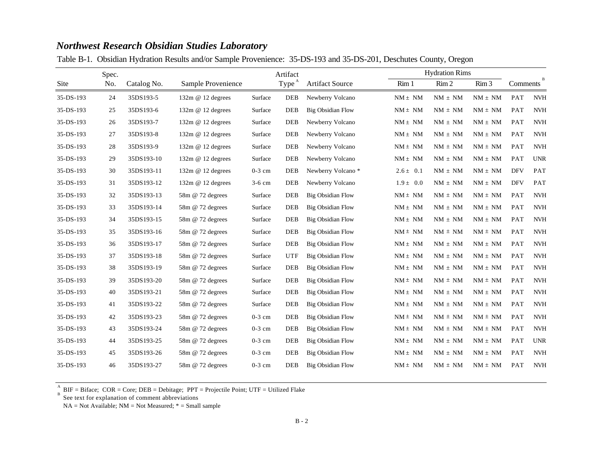|  | Table B-1. Obsidian Hydration Results and/or Sample Provenience: 35-DS-193 and 35-DS-201, Deschutes County, Oregon |  |  |  |  |
|--|--------------------------------------------------------------------------------------------------------------------|--|--|--|--|
|  |                                                                                                                    |  |  |  |  |

|           | Spec. |             |                    |          |                   | Artifact                 |                  | <b>Hydration Rims</b> |                  |            |                                  |  |
|-----------|-------|-------------|--------------------|----------|-------------------|--------------------------|------------------|-----------------------|------------------|------------|----------------------------------|--|
| Site      | No.   | Catalog No. | Sample Provenience |          | Type <sup>A</sup> | <b>Artifact Source</b>   | Rim <sub>1</sub> | Rim 2                 | Rim <sub>3</sub> | Comments   | B                                |  |
| 35-DS-193 | 24    | 35DS193-5   | 132m @ 12 degrees  | Surface  | <b>DEB</b>        | Newberry Volcano         | $NM \pm NM$      | $NM \pm NM$           | $NM \pm NM$      | PAT        | <b>NVH</b>                       |  |
| 35-DS-193 | 25    | 35DS193-6   | 132m @ 12 degrees  | Surface  | <b>DEB</b>        | <b>Big Obsidian Flow</b> | $NM \pm NM$      | $NM \pm NM$           | $NM \pm NM$      | PAT        | <b>NVH</b>                       |  |
| 35-DS-193 | 26    | 35DS193-7   | 132m @ 12 degrees  | Surface  | <b>DEB</b>        | Newberry Volcano         | $NM \pm NM$      | $NM \, \pm \, NM$     | $NM \pm NM$      | PAT        | <b>NVH</b>                       |  |
| 35-DS-193 | 27    | 35DS193-8   | 132m @ 12 degrees  | Surface  | <b>DEB</b>        | Newberry Volcano         | $NM \pm NM$      | $NM \pm NM$           | $NM \pm NM$      | <b>PAT</b> | <b>NVH</b>                       |  |
| 35-DS-193 | 28    | 35DS193-9   | 132m @ 12 degrees  | Surface  | <b>DEB</b>        | Newberry Volcano         | $NM \pm NM$      | $NM \pm NM$           | $NM \pm NM$      | PAT        | <b>NVH</b>                       |  |
| 35-DS-193 | 29    | 35DS193-10  | 132m @ 12 degrees  | Surface  | <b>DEB</b>        | Newberry Volcano         | $NM \pm\ NM$     | $NM \, \pm \, NM$     | $NM \pm NM$      | PAT        | <b>UNR</b>                       |  |
| 35-DS-193 | 30    | 35DS193-11  | 132m @ 12 degrees  | $0-3$ cm | DEB               | Newberry Volcano*        | $2.6 \pm 0.1$    | $NM \, \pm \, NM$     | $NM \pm NM$      | <b>DFV</b> | PAT                              |  |
| 35-DS-193 | 31    | 35DS193-12  | 132m @ 12 degrees  | $3-6$ cm | <b>DEB</b>        | Newberry Volcano         | $1.9 \pm 0.0$    | $NM \pm NM$           | $NM \pm NM$      | <b>DFV</b> | PAT                              |  |
| 35-DS-193 | 32    | 35DS193-13  | 58m @ 72 degrees   | Surface  | <b>DEB</b>        | <b>Big Obsidian Flow</b> | $NM \pm NM$      | $NM \pm NM$           | $NM \pm NM$      | PAT        | <b>NVH</b>                       |  |
| 35-DS-193 | 33    | 35DS193-14  | 58m @ 72 degrees   | Surface  | <b>DEB</b>        | <b>Big Obsidian Flow</b> | $NM \pm\ NM$     | $NM \, \pm \, NM$     | $NM \pm NM$      | PAT        | <b>NVH</b>                       |  |
| 35-DS-193 | 34    | 35DS193-15  | 58m @ 72 degrees   | Surface  | DEB               | <b>Big Obsidian Flow</b> | $NM \pm NM$      | $NM \pm NM$           | $NM \pm NM$      | PAT        | <b>NVH</b>                       |  |
| 35-DS-193 | 35    | 35DS193-16  | 58m @ 72 degrees   | Surface  | <b>DEB</b>        | <b>Big Obsidian Flow</b> | $NM \pm NM$      | $NM \pm NM$           | $NM \pm NM$      | PAT        | <b>NVH</b>                       |  |
| 35-DS-193 | 36    | 35DS193-17  | 58m @ 72 degrees   | Surface  | <b>DEB</b>        | <b>Big Obsidian Flow</b> | $NM \pm\ NM$     | $NM \, \pm \, NM$     | $NM \pm NM$      | PAT        | <b>NVH</b>                       |  |
| 35-DS-193 | 37    | 35DS193-18  | 58m @ 72 degrees   | Surface  | <b>UTF</b>        | Big Obsidian Flow        | $NM \pm NM$      | $NM \, \pm \, NM$     | $NM \pm NM$      | PAT        | $\ensuremath{\text{NV}\text{H}}$ |  |
| 35-DS-193 | 38    | 35DS193-19  | 58m @ 72 degrees   | Surface  | DEB               | <b>Big Obsidian Flow</b> | $NM \pm NM$      | $NM \pm NM$           | $NM \pm NM$      | PAT        | $\ensuremath{\text{NV}\text{H}}$ |  |
| 35-DS-193 | 39    | 35DS193-20  | 58m @ 72 degrees   | Surface  | <b>DEB</b>        | <b>Big Obsidian Flow</b> | $NM \pm NM$      | $NM \pm NM$           | $NM \pm NM$      | PAT        | <b>NVH</b>                       |  |
| 35-DS-193 | 40    | 35DS193-21  | 58m @ 72 degrees   | Surface  | <b>DEB</b>        | <b>Big Obsidian Flow</b> | $NM \pm NM$      | $NM \, \pm \, NM$     | $NM \pm NM$      | PAT        | <b>NVH</b>                       |  |
| 35-DS-193 | 41    | 35DS193-22  | 58m @ 72 degrees   | Surface  | <b>DEB</b>        | <b>Big Obsidian Flow</b> | $NM \pm NM$      | $NM \pm NM$           | $NM \pm NM$      | PAT        | <b>NVH</b>                       |  |
| 35-DS-193 | 42    | 35DS193-23  | 58m @ 72 degrees   | $0-3$ cm | <b>DEB</b>        | <b>Big Obsidian Flow</b> | $NM \pm NM$      | $NM \pm NM$           | $NM \pm NM$      | PAT        | <b>NVH</b>                       |  |
| 35-DS-193 | 43    | 35DS193-24  | 58m @ 72 degrees   | $0-3$ cm | <b>DEB</b>        | <b>Big Obsidian Flow</b> | $NM \pm NM$      | $NM \pm NM$           | $NM \pm NM$      | PAT        | <b>NVH</b>                       |  |
| 35-DS-193 | 44    | 35DS193-25  | 58m @ 72 degrees   | $0-3$ cm | <b>DEB</b>        | <b>Big Obsidian Flow</b> | $NM \pm\ NM$     | $NM \, \pm \, NM$     | $NM \pm NM$      | PAT        | <b>UNR</b>                       |  |
| 35-DS-193 | 45    | 35DS193-26  | 58m @ 72 degrees   | $0-3$ cm | <b>DEB</b>        | <b>Big Obsidian Flow</b> | $NM \pm NM$      | $NM \pm NM$           | $NM \pm NM$      | PAT        | $\ensuremath{\text{NV}\text{H}}$ |  |
| 35-DS-193 | 46    | 35DS193-27  | 58m @ 72 degrees   | $0-3$ cm | <b>DEB</b>        | <b>Big Obsidian Flow</b> | $NM \pm NM$      | $NM \pm NM$           | $NM \pm NM$      | PAT        | <b>NVH</b>                       |  |

BIF = Biface; COR = Core; DEB = Debitage; PPT = Projectile Point; UTF = Utilized Flake A B

See text for explanation of comment abbreviations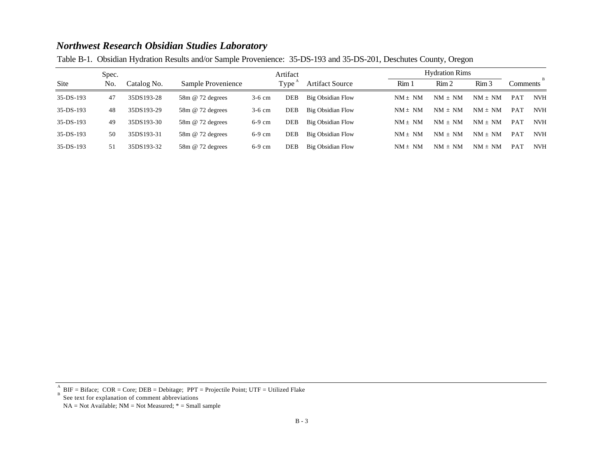|  | Table B-1. Obsidian Hydration Results and/or Sample Provenience: 35-DS-193 and 35-DS-201, Deschutes County, Oregon |  |
|--|--------------------------------------------------------------------------------------------------------------------|--|
|  |                                                                                                                    |  |

|             | Spec. |             |                         |          | Artifact |                        |                  | <b>Hydration Rims</b> |                  |            |            |  |
|-------------|-------|-------------|-------------------------|----------|----------|------------------------|------------------|-----------------------|------------------|------------|------------|--|
| Site        | No.   | Catalog No. | Sample Provenience      |          | Type     | <b>Artifact Source</b> | Rim <sub>1</sub> | Rim <sub>2</sub>      | Rim <sub>3</sub> | Comments   | B          |  |
| $35-DS-193$ | 47    | 35DS193-28  | $58m \& 72$ degrees     | $3-6$ cm | DEB      | Big Obsidian Flow      | $NM \pm NM$      | $NM + NM$             | $NM \pm NM$      | <b>PAT</b> | <b>NVH</b> |  |
| $35-DS-193$ | 48    | 35DS193-29  | 58m @ 72 degrees        | $3-6$ cm | DEB      | Big Obsidian Flow      | $NM \pm NM$      | $NM \pm NM$           | $NM \pm NM$      | <b>PAT</b> | <b>NVH</b> |  |
| $35-DS-193$ | 49    | 35DS193-30  | $58m \omega$ 72 degrees | $6-9$ cm | DEB      | Big Obsidian Flow      | $NM \pm NM$      | $NM \pm NM$           | $NM \pm NM$      | <b>PAT</b> | <b>NVH</b> |  |
| $35-DS-193$ | 50    | 35DS193-31  | 58m @ 72 degrees        | $6-9$ cm | DEB      | Big Obsidian Flow      | $NM \pm NM$      | $NM + NM$             | $NM \pm NM$      | <b>PAT</b> | <b>NVH</b> |  |
| $35-DS-193$ | 51    | 35DS193-32  | $58m \omega$ 72 degrees | $6-9$ cm | DEB      | Big Obsidian Flow      | $NM \pm NM$      | $NM \pm NM$           | $NM \pm NM$      | <b>PAT</b> | <b>NVH</b> |  |

See text for explanation of comment abbreviations

BIF = Biface; COR = Core; DEB = Debitage; PPT = Projectile Point; UTF = Utilized Flake A B

 $NA = Not Available; NM = Not Measured; * = Small sample$